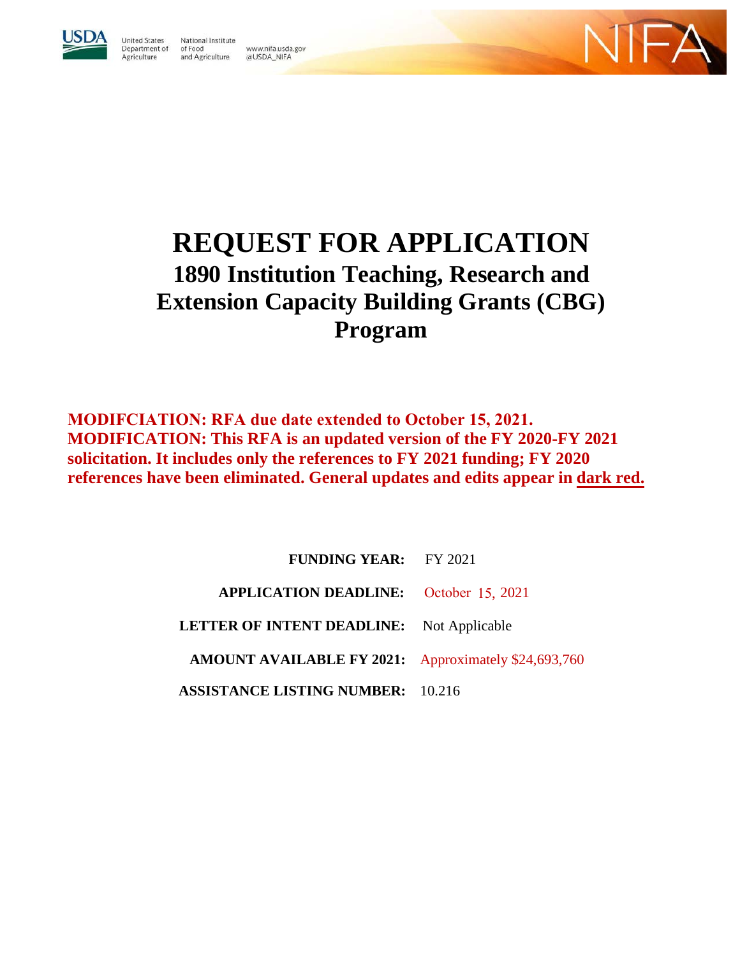

**United States** National Institute Department of of Food Agriculture and Agriculture @USDA\_NIFA

www.nifa.usda.gov

# **REQUEST FOR APPLICATION 1890 Institution Teaching, Research and Extension Capacity Building Grants (CBG) Program**

**MODIFCIATION: RFA due date extended to October 15, 2021. MODIFICATION: This RFA is an updated version of the FY 2020-FY 2021 solicitation. It includes only the references to FY 2021 funding; FY 2020 references have been eliminated. General updates and edits appear in dark red.** 

> **FUNDING YEAR:** FY 2021 **APPLICATION DEADLINE:** October 15, 2021 **LETTER OF INTENT DEADLINE:** Not Applicable **AMOUNT AVAILABLE FY 2021:** Approximately \$24,693,760  **ASSISTANCE LISTING NUMBER:** 10.216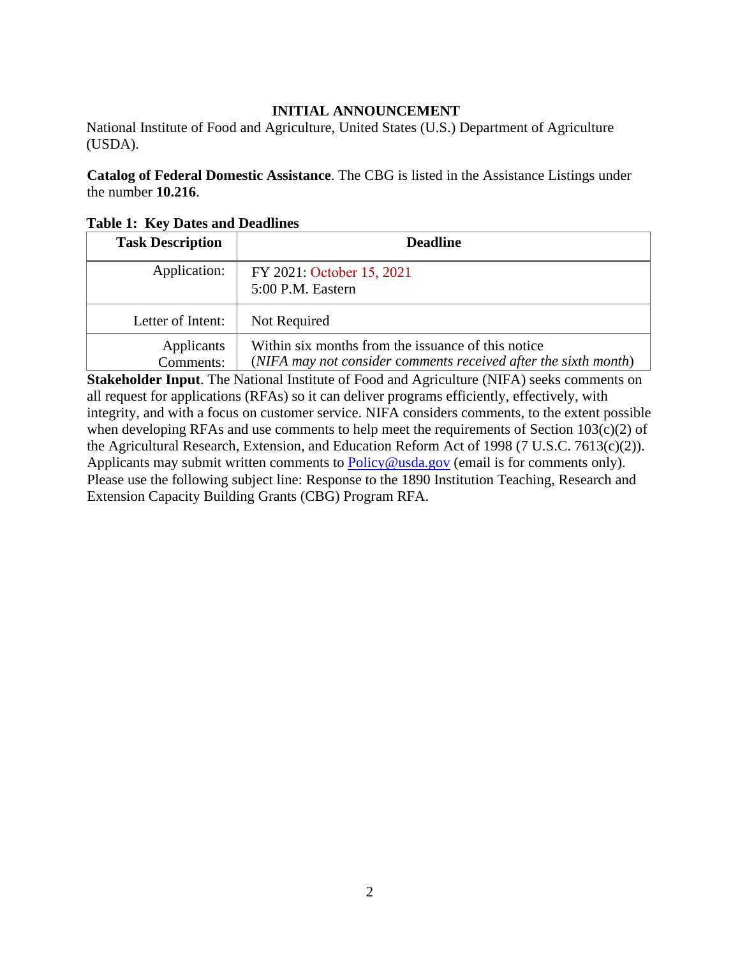#### **INITIAL ANNOUNCEMENT**

National Institute of Food and Agriculture, United States (U.S.) Department of Agriculture (USDA).

**Catalog of Federal Domestic Assistance**. The CBG is listed in the Assistance Listings under the number **10.216**.

| <b>Task Description</b> | <b>Deadline</b>                                                                                                       |
|-------------------------|-----------------------------------------------------------------------------------------------------------------------|
| Application:            | FY 2021: October 15, 2021<br>5:00 P.M. Eastern                                                                        |
| Letter of Intent:       | Not Required                                                                                                          |
| Applicants<br>Comments: | Within six months from the issuance of this notice<br>(NIFA may not consider comments received after the sixth month) |

<span id="page-1-0"></span>**Table 1: Key Dates and Deadlines**

**Stakeholder Input**. The National Institute of Food and Agriculture (NIFA) seeks comments on all request for applications (RFAs) so it can deliver programs efficiently, effectively, with integrity, and with a focus on customer service. NIFA considers comments, to the extent possible when developing RFAs and use comments to help meet the requirements of Section 103(c)(2) of the Agricultural Research, Extension, and Education Reform Act of 1998 (7 U.S.C. 7613(c)(2)). Applicants may submit written comments to **Policy@usda.gov** (email is for comments only). Please use the following subject line: Response to the 1890 Institution Teaching, Research and Extension Capacity Building Grants (CBG) Program RFA.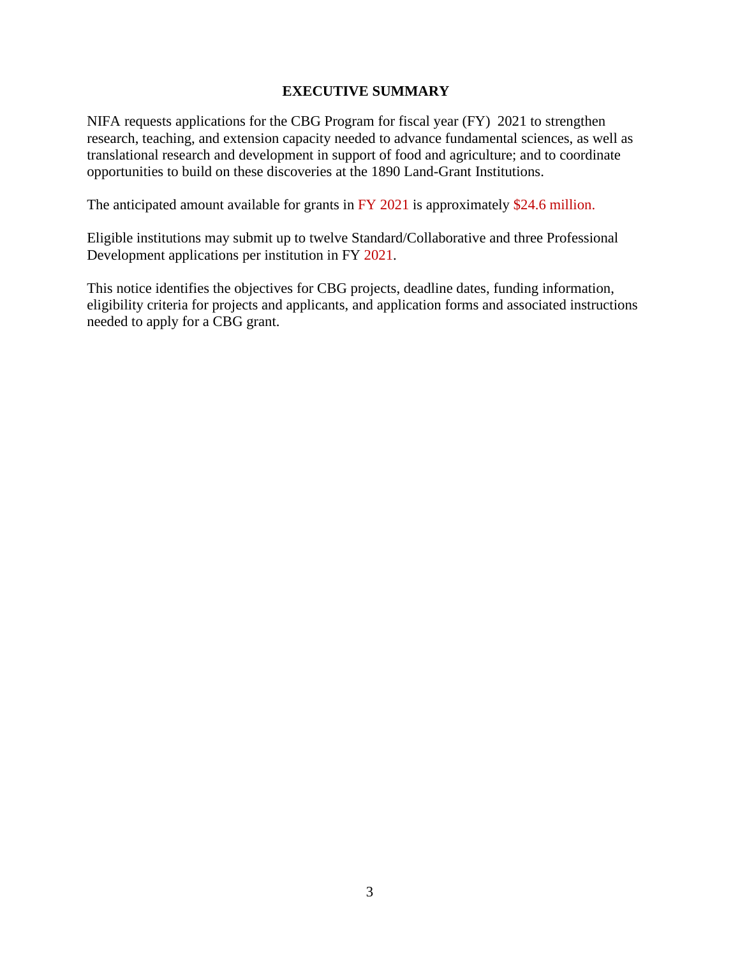#### **EXECUTIVE SUMMARY**

NIFA requests applications for the CBG Program for fiscal year (FY) 2021 to strengthen research, teaching, and extension capacity needed to advance fundamental sciences, as well as translational research and development in support of food and agriculture; and to coordinate opportunities to build on these discoveries at the 1890 Land-Grant Institutions.

The anticipated amount available for grants in FY 2021 is approximately \$24.6 million.

Eligible institutions may submit up to twelve Standard/Collaborative and three Professional Development applications per institution in FY 2021.

This notice identifies the objectives for CBG projects, deadline dates, funding information, eligibility criteria for projects and applicants, and application forms and associated instructions needed to apply for a CBG grant.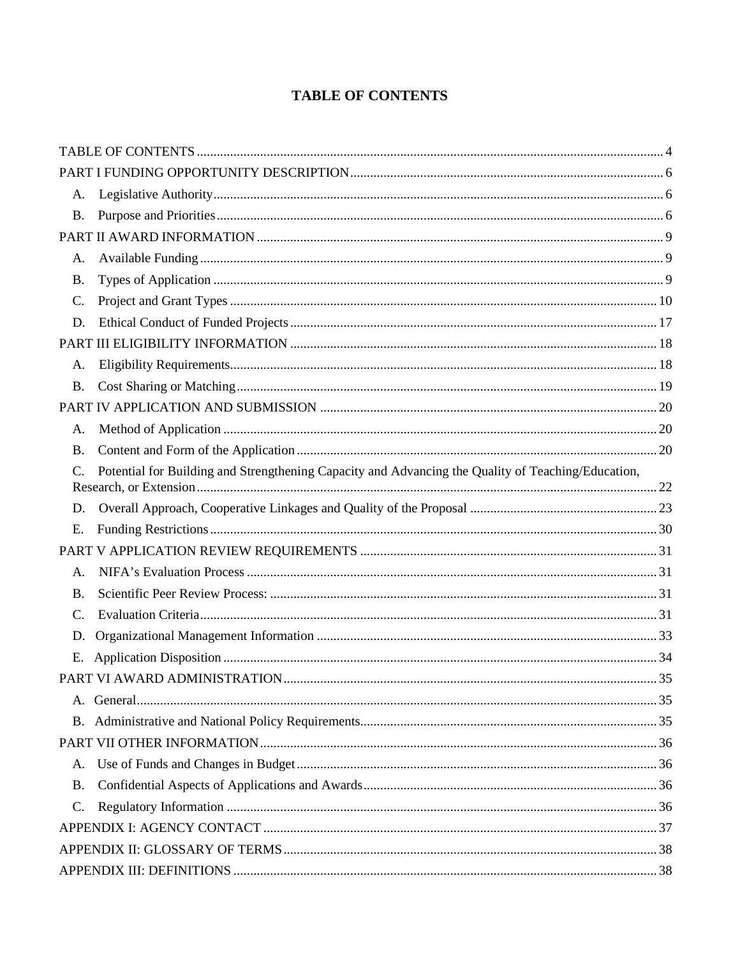# **TABLE OF CONTENTS**

<span id="page-3-0"></span>

| A.        |                                                                                                    |  |
|-----------|----------------------------------------------------------------------------------------------------|--|
| <b>B.</b> |                                                                                                    |  |
|           |                                                                                                    |  |
| A.        |                                                                                                    |  |
| <b>B.</b> |                                                                                                    |  |
| C.        |                                                                                                    |  |
| D.        |                                                                                                    |  |
|           |                                                                                                    |  |
| A.        |                                                                                                    |  |
| <b>B.</b> |                                                                                                    |  |
|           |                                                                                                    |  |
| А.        |                                                                                                    |  |
| <b>B.</b> |                                                                                                    |  |
|           | Potential for Building and Strengthening Capacity and Advancing the Quality of Teaching/Education, |  |
| D.        |                                                                                                    |  |
| E.        |                                                                                                    |  |
|           |                                                                                                    |  |
| A.        |                                                                                                    |  |
| <b>B.</b> |                                                                                                    |  |
| C.        |                                                                                                    |  |
| D.        |                                                                                                    |  |
| Е.        |                                                                                                    |  |
|           |                                                                                                    |  |
|           |                                                                                                    |  |
|           |                                                                                                    |  |
|           |                                                                                                    |  |
| A.        |                                                                                                    |  |
| <b>B.</b> |                                                                                                    |  |
|           |                                                                                                    |  |
| C.        |                                                                                                    |  |
|           |                                                                                                    |  |
|           |                                                                                                    |  |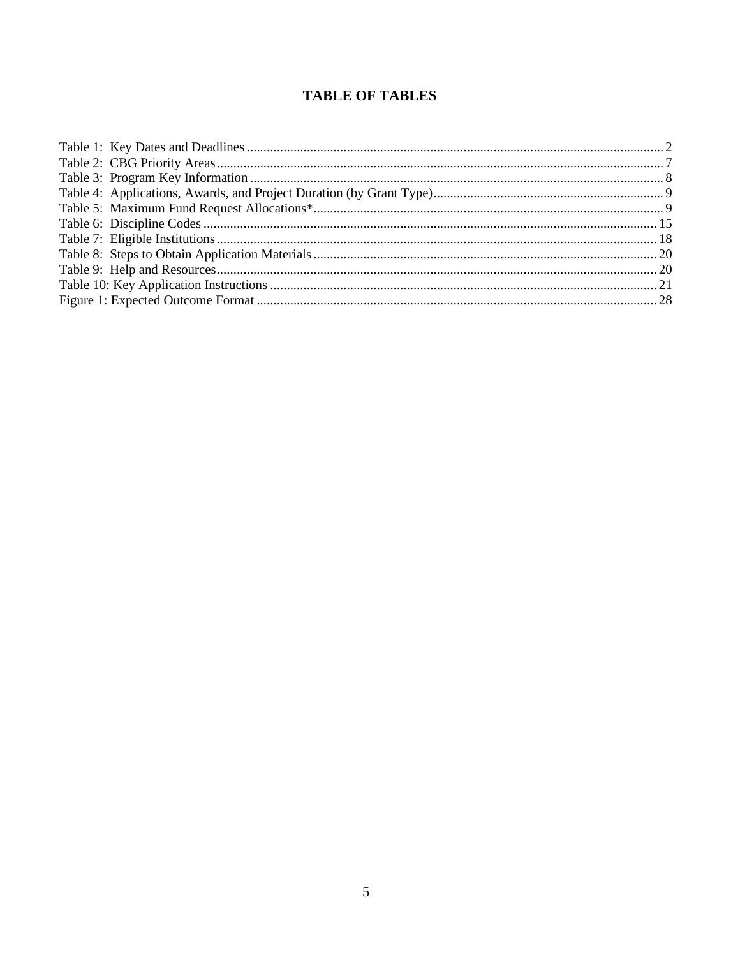# **TABLE OF TABLES**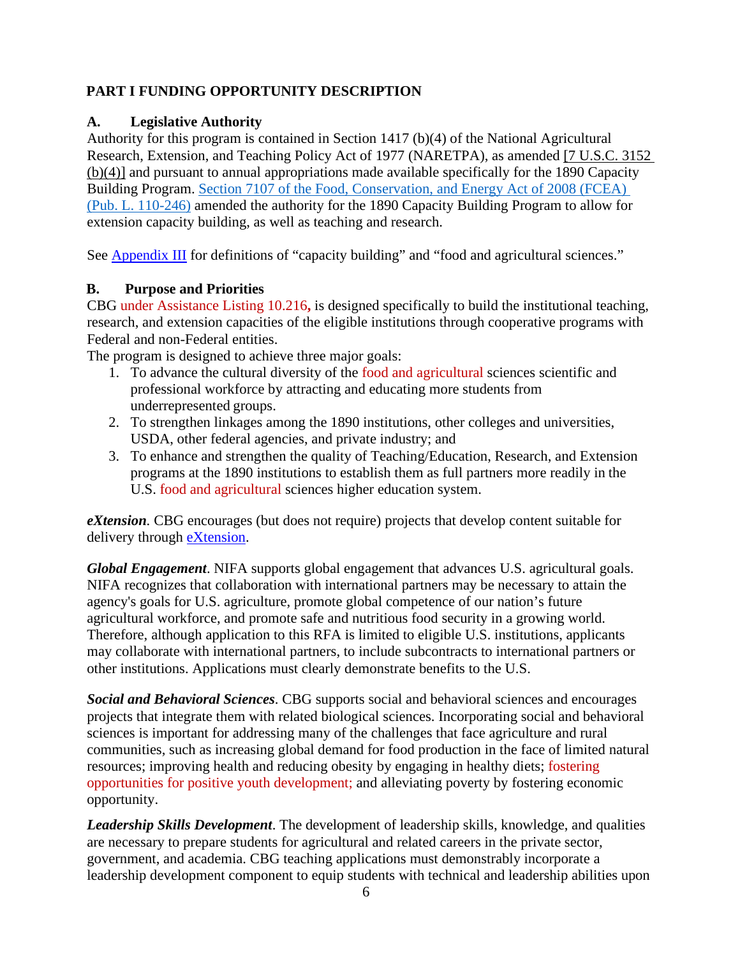# <span id="page-5-0"></span>**PART I FUNDING OPPORTUNITY DESCRIPTION**

## <span id="page-5-1"></span>**A. Legislative Authority**

Authority for this program is contained in Section 1417 (b)(4) of the National Agricultural Research, Extension, and Teaching Policy Act of 1977 (NARETPA), as amended [\[7 U.S.C. 3152](https://uscode.house.gov/view.xhtml?req=(title:7%20%20section:3152%20edition:prelim)%20OR%20(granuleid:USC-prelim-title7%20-section3152)&f=treesort&edition=prelim&num=0&jumpTo=true) [\(b\)\(4\)\]](https://uscode.house.gov/view.xhtml?req=(title:7%20%20section:3152%20edition:prelim)%20OR%20(granuleid:USC-prelim-title7%20-section3152)&f=treesort&edition=prelim&num=0&jumpTo=true) and pursuant to annual appropriations made available specifically for the 1890 Capacity Building Program. [Section 7107 of the Food, Conservation, and Energy Act of 2008 \(FCEA\)](https://www.agriculture.senate.gov/imo/media/doc/pl110-246.pdf) [\(Pub. L. 110-246\)](https://www.agriculture.senate.gov/imo/media/doc/pl110-246.pdf) amended the authority for the 1890 Capacity Building Program to allow for extension capacity building, as well as teaching and research.

See Appendix III for definitions of "capacity building" and "food and agricultural sciences."

## <span id="page-5-2"></span>**B. Purpose and Priorities**

CBG under Assistance Listing 10.216**,** is designed specifically to build the institutional teaching, research, and extension capacities of the eligible institutions through cooperative programs with Federal and non-Federal entities.

The program is designed to achieve three major goals:

- 1. To advance the cultural diversity of the food and agricultural sciences scientific and professional workforce by attracting and educating more students from underrepresented groups.
- 2. To strengthen linkages among the 1890 institutions, other colleges and universities, USDA, other federal agencies, and private industry; and
- 3. To enhance and strengthen the quality of Teaching/Education, Research, and Extension programs at the 1890 institutions to establish them as full partners more readily in the U.S. food and agricultural sciences higher education system.

*eXtension.* CBG encourages (but does not require) projects that develop content suitable for delivery through **eXtension**.

*Global Engagement*. NIFA supports global engagement that advances U.S. agricultural goals. NIFA recognizes that collaboration with international partners may be necessary to attain the agency's goals for U.S. agriculture, promote global competence of our nation's future agricultural workforce, and promote safe and nutritious food security in a growing world. Therefore, although application to this RFA is limited to eligible U.S. institutions, applicants may collaborate with international partners, to include subcontracts to international partners or other institutions. Applications must clearly demonstrate benefits to the U.S.

*Social and Behavioral Sciences*. CBG supports social and behavioral sciences and encourages projects that integrate them with related biological sciences. Incorporating social and behavioral sciences is important for addressing many of the challenges that face agriculture and rural communities, such as increasing global demand for food production in the face of limited natural resources; improving health and reducing obesity by engaging in healthy diets; fostering opportunities for positive youth development; and alleviating poverty by fostering economic opportunity.

*Leadership Skills Development*. The development of leadership skills, knowledge, and qualities are necessary to prepare students for agricultural and related careers in the private sector, government, and academia. CBG teaching applications must demonstrably incorporate a leadership development component to equip students with technical and leadership abilities upon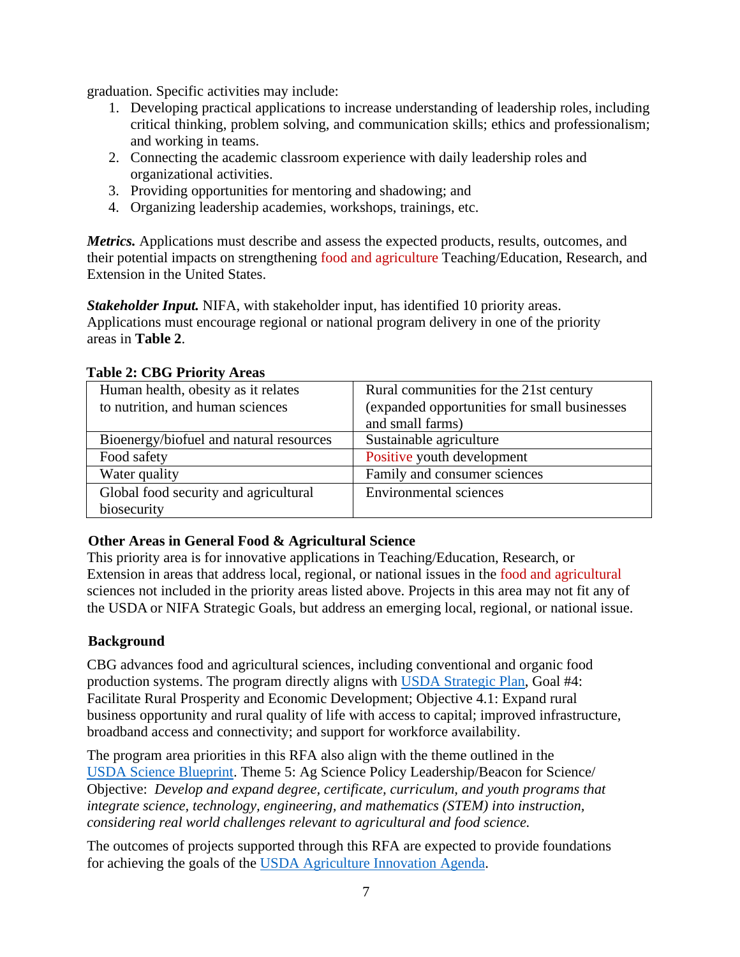graduation. Specific activities may include:

- 1. Developing practical applications to increase understanding of leadership roles, including critical thinking, problem solving, and communication skills; ethics and professionalism; and working in teams.
- 2. Connecting the academic classroom experience with daily leadership roles and organizational activities.
- 3. Providing opportunities for mentoring and shadowing; and
- 4. Organizing leadership academies, workshops, trainings, etc.

*Metrics.* Applications must describe and assess the expected products, results, outcomes, and their potential impacts on strengthening food and agriculture Teaching/Education, Research, and Extension in the United States.

*Stakeholder Input.* NIFA, with stakeholder input, has identified 10 priority areas. Applications must encourage regional or national program delivery in one of the priority areas in **Table 2**.

| $1.0010 = 0.0010 + 1.00110 + 1.0000$    |                                              |
|-----------------------------------------|----------------------------------------------|
| Human health, obesity as it relates     | Rural communities for the 21st century       |
| to nutrition, and human sciences        | (expanded opportunities for small businesses |
|                                         | and small farms)                             |
| Bioenergy/biofuel and natural resources | Sustainable agriculture                      |
| Food safety                             | Positive youth development                   |
| Water quality                           | Family and consumer sciences                 |
| Global food security and agricultural   | <b>Environmental sciences</b>                |
| biosecurity                             |                                              |

#### <span id="page-6-0"></span>**Table 2: CBG Priority Areas**

## **Other Areas in General Food & Agricultural Science**

This priority area is for innovative applications in Teaching/Education, Research, or Extension in areas that address local, regional, or national issues in the food and agricultural sciences not included in the priority areas listed above. Projects in this area may not fit any of the USDA or NIFA Strategic Goals, but address an emerging local, regional, or national issue.

## **Background**

CBG advances food and agricultural sciences, including conventional and organic food production systems. The program directly aligns with [USDA Strategic Plan,](https://www.usda.gov/sites/default/files/documents/usda-strategic-plan-2018-2022.pdf) Goal #4: Facilitate Rural Prosperity and Economic Development; Objective 4.1: Expand rural business opportunity and rural quality of life with access to capital; improved infrastructure, broadband access and connectivity; and support for workforce availability.

The program area priorities in this RFA also align with the theme outlined in the USDA [Science Blueprint.](https://www.usda.gov/sites/default/files/documents/usda-science-blueprint.pdf) Theme 5: Ag Science Policy Leadership/Beacon for Science/ Objective: *Develop and expand degree, certificate, curriculum, and youth programs that integrate science, technology, engineering, and mathematics (STEM) into instruction, considering real world challenges relevant to agricultural and food science.*

The outcomes of projects supported through this RFA are expected to provide foundations for achieving the goals of the [USDA Agriculture Innovation Agenda.](https://www.usda.gov/sites/default/files/documents/agriculture-innovation-agenda-vision-statement.pdf)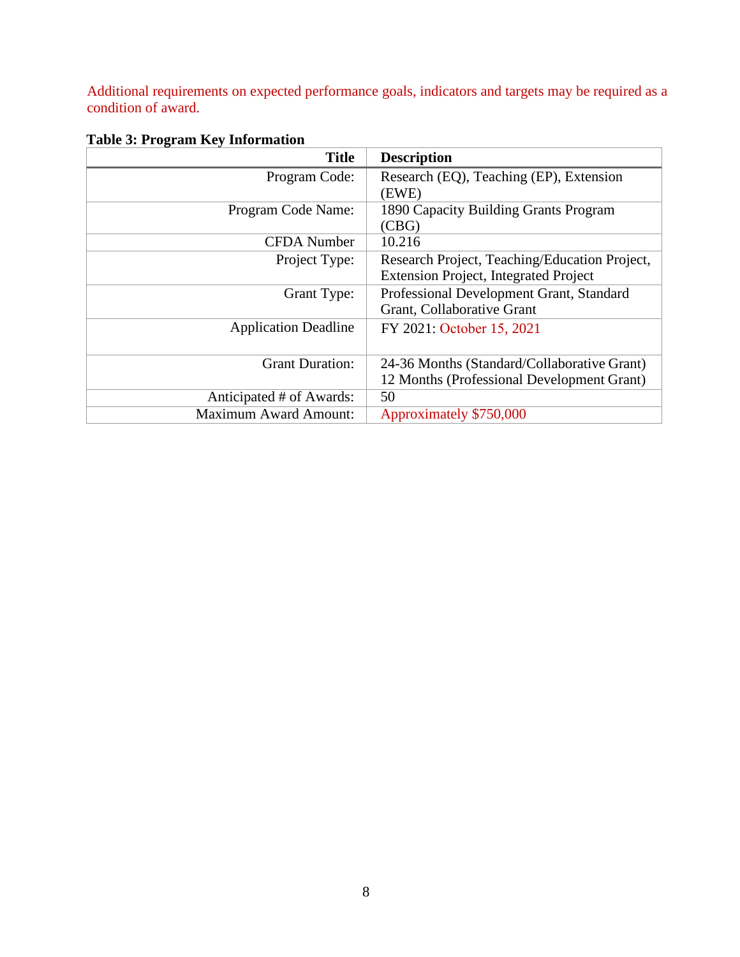Additional requirements on expected performance goals, indicators and targets may be required as a condition of award.

| <b>Title</b>                 | <b>Description</b>                            |
|------------------------------|-----------------------------------------------|
| Program Code:                | Research (EQ), Teaching (EP), Extension       |
|                              | (EWE)                                         |
| Program Code Name:           | 1890 Capacity Building Grants Program         |
|                              | (CBG)                                         |
| <b>CFDA</b> Number           | 10.216                                        |
| Project Type:                | Research Project, Teaching/Education Project, |
|                              | <b>Extension Project, Integrated Project</b>  |
| Grant Type:                  | Professional Development Grant, Standard      |
|                              | Grant, Collaborative Grant                    |
| <b>Application Deadline</b>  | FY 2021: October 15, 2021                     |
|                              |                                               |
| <b>Grant Duration:</b>       | 24-36 Months (Standard/Collaborative Grant)   |
|                              | 12 Months (Professional Development Grant)    |
| Anticipated # of Awards:     | 50                                            |
| <b>Maximum Award Amount:</b> | Approximately \$750,000                       |

# <span id="page-7-0"></span>**Table 3: Program Key Information**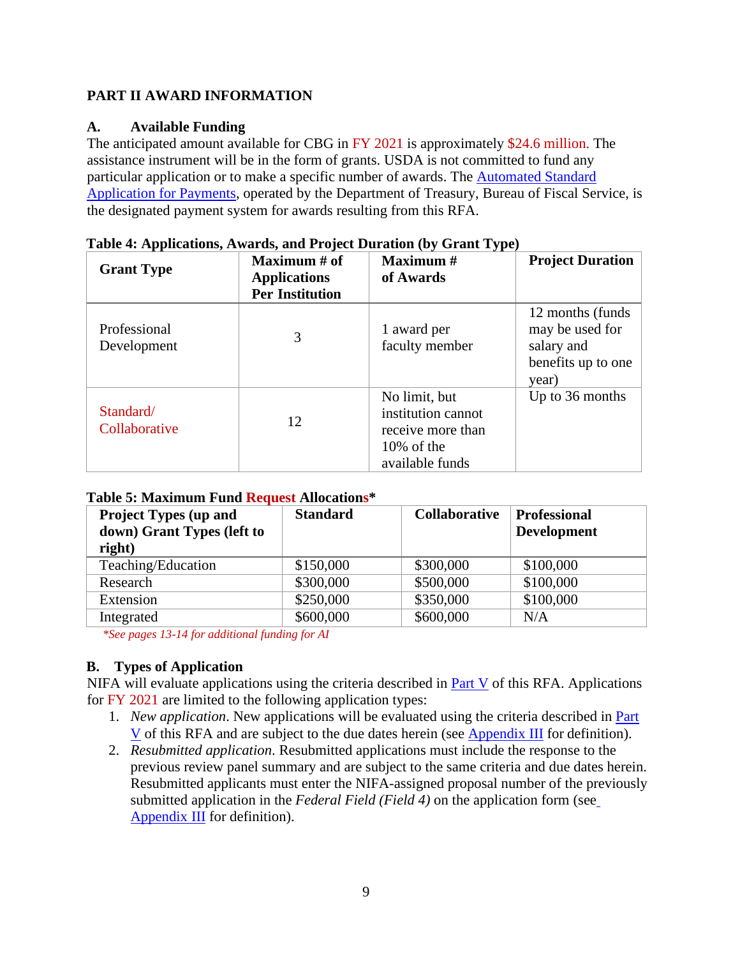## <span id="page-8-0"></span>**PART II AWARD INFORMATION**

## <span id="page-8-1"></span>**A. Available Funding**

The anticipated amount available for CBG in FY 2021 is approximately \$24.6 million. The assistance instrument will be in the form of grants. USDA is not committed to fund any particular application or to make a specific number of awards. The [Automated Standard](https://www.fiscal.treasury.gov/fsservices/gov/pmt/asap/asap_home.htm) [Application for Payments,](https://www.fiscal.treasury.gov/fsservices/gov/pmt/asap/asap_home.htm) operated by the Department of Treasury, Bureau of Fiscal Service, is the designated payment system for awards resulting from this RFA.

| <b>Grant Type</b>           | Maximum # of<br><b>Applications</b><br><b>Per Institution</b> | <b>Maximum</b> #<br>of Awards                                                                | <b>Project Duration</b>                                                           |
|-----------------------------|---------------------------------------------------------------|----------------------------------------------------------------------------------------------|-----------------------------------------------------------------------------------|
| Professional<br>Development | 3                                                             | 1 award per<br>faculty member                                                                | 12 months (funds)<br>may be used for<br>salary and<br>benefits up to one<br>year) |
| Standard/<br>Collaborative  | 12                                                            | No limit, but<br>institution cannot<br>receive more than<br>$10\%$ of the<br>available funds | Up to 36 months                                                                   |

<span id="page-8-3"></span>

<span id="page-8-4"></span>

|  |  | Table 5: Maximum Fund Request Allocations* |  |  |  |
|--|--|--------------------------------------------|--|--|--|
|  |  |                                            |  |  |  |

| <b>Project Types (up and</b> | <b>Standard</b> | <b>Collaborative</b> |             |
|------------------------------|-----------------|----------------------|-------------|
| down) Grant Types (left to   |                 |                      | Development |
| right)                       |                 |                      |             |
| Teaching/Education           | \$150,000       | \$300,000            | \$100,000   |
| Research                     | \$300,000       | \$500,000            | \$100,000   |
| Extension                    | \$250,000       | \$350,000            | \$100,000   |
| Integrated                   | \$600,000       | \$600,000            | N/A         |

*\*See pages 13-14 for additional funding for AI*

# <span id="page-8-2"></span>**B. Types of Application**

NIFA will evaluate applications using the criteria described in Part V of this RFA. Applications for FY 2021 are limited to the following application types:

- 1. *New application*. New applications will be evaluated using the criteria described in Part V of this RFA and are subject to the due dates herein (see Appendix III for definition).
- 2. *Resubmitted application*. Resubmitted applications must include the response to the previous review panel summary and are subject to the same criteria and due dates herein. Resubmitted applicants must enter the NIFA-assigned proposal number of the previously submitted application in the *Federal Field (Field 4)* on the application form (see Appendix  $III$  for definition).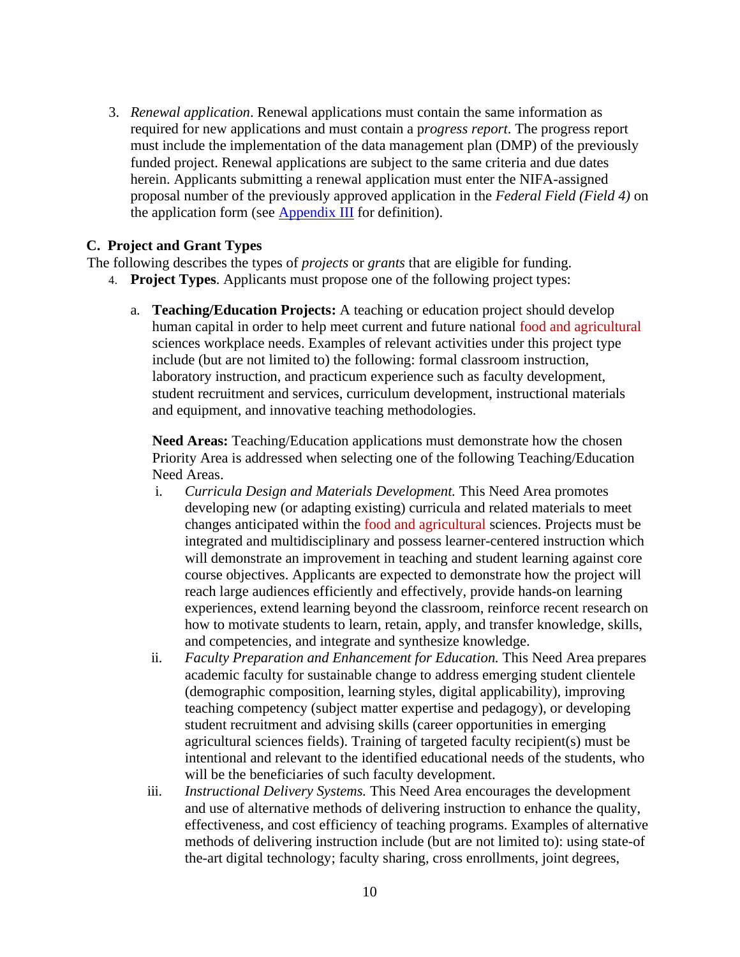3. *Renewal application*. Renewal applications must contain the same information as required for new applications and must contain a p*rogress report*. The progress report must include the implementation of the data management plan (DMP) of the previously funded project. Renewal applications are subject to the same criteria and due dates herein. Applicants submitting a renewal application must enter the NIFA-assigned proposal number of the previously approved application in the *Federal Field (Field 4)* on the application form (see Appendix III for definition).

#### <span id="page-9-0"></span>**C. Project and Grant Types**

The following describes the types of *projects* or *grants* that are eligible for funding.

- 4. **Project Types**. Applicants must propose one of the following project types:
	- a. **Teaching/Education Projects:** A teaching or education project should develop human capital in order to help meet current and future national food and agricultural sciences workplace needs. Examples of relevant activities under this project type include (but are not limited to) the following: formal classroom instruction, laboratory instruction, and practicum experience such as faculty development, student recruitment and services, curriculum development, instructional materials and equipment, and innovative teaching methodologies.

**Need Areas:** Teaching/Education applications must demonstrate how the chosen Priority Area is addressed when selecting one of the following Teaching/Education Need Areas.

- i. *Curricula Design and Materials Development.* This Need Area promotes developing new (or adapting existing) curricula and related materials to meet changes anticipated within the food and agricultural sciences. Projects must be integrated and multidisciplinary and possess learner-centered instruction which will demonstrate an improvement in teaching and student learning against core course objectives. Applicants are expected to demonstrate how the project will reach large audiences efficiently and effectively, provide hands-on learning experiences, extend learning beyond the classroom, reinforce recent research on how to motivate students to learn, retain, apply, and transfer knowledge, skills, and competencies, and integrate and synthesize knowledge.
- ii. *Faculty Preparation and Enhancement for Education.* This Need Area prepares academic faculty for sustainable change to address emerging student clientele (demographic composition, learning styles, digital applicability), improving teaching competency (subject matter expertise and pedagogy), or developing student recruitment and advising skills (career opportunities in emerging agricultural sciences fields). Training of targeted faculty recipient(s) must be intentional and relevant to the identified educational needs of the students, who will be the beneficiaries of such faculty development.
- iii. *Instructional Delivery Systems.* This Need Area encourages the development and use of alternative methods of delivering instruction to enhance the quality, effectiveness, and cost efficiency of teaching programs. Examples of alternative methods of delivering instruction include (but are not limited to): using state-of the-art digital technology; faculty sharing, cross enrollments, joint degrees,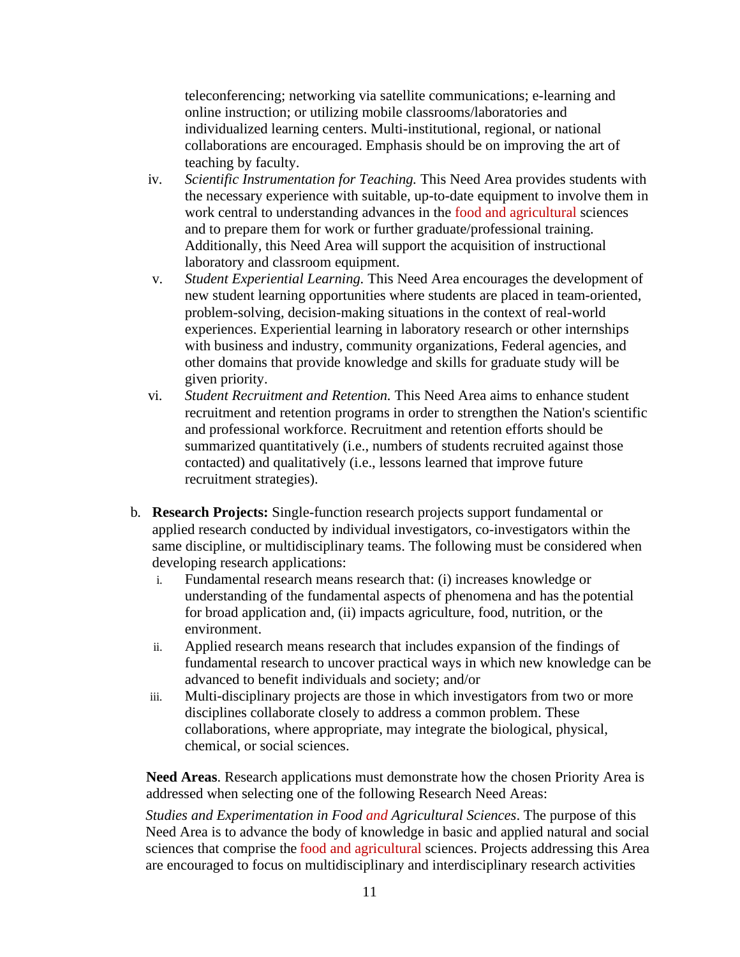teleconferencing; networking via satellite communications; e-learning and online instruction; or utilizing mobile classrooms/laboratories and individualized learning centers. Multi-institutional, regional, or national collaborations are encouraged. Emphasis should be on improving the art of teaching by faculty.

- iv. *Scientific Instrumentation for Teaching.* This Need Area provides students with the necessary experience with suitable, up-to-date equipment to involve them in work central to understanding advances in the food and agricultural sciences and to prepare them for work or further graduate/professional training. Additionally, this Need Area will support the acquisition of instructional laboratory and classroom equipment.
- v. *Student Experiential Learning.* This Need Area encourages the development of new student learning opportunities where students are placed in team-oriented, problem-solving, decision-making situations in the context of real-world experiences. Experiential learning in laboratory research or other internships with business and industry, community organizations, Federal agencies, and other domains that provide knowledge and skills for graduate study will be given priority.
- vi. *Student Recruitment and Retention.* This Need Area aims to enhance student recruitment and retention programs in order to strengthen the Nation's scientific and professional workforce. Recruitment and retention efforts should be summarized quantitatively (i.e., numbers of students recruited against those contacted) and qualitatively (i.e., lessons learned that improve future recruitment strategies).
- b. **Research Projects:** Single-function research projects support fundamental or applied research conducted by individual investigators, co-investigators within the same discipline, or multidisciplinary teams. The following must be considered when developing research applications:
	- i. Fundamental research means research that: (i) increases knowledge or understanding of the fundamental aspects of phenomena and has the potential for broad application and, (ii) impacts agriculture, food, nutrition, or the environment.
	- ii. Applied research means research that includes expansion of the findings of fundamental research to uncover practical ways in which new knowledge can be advanced to benefit individuals and society; and/or
	- iii. Multi-disciplinary projects are those in which investigators from two or more disciplines collaborate closely to address a common problem. These collaborations, where appropriate, may integrate the biological, physical, chemical, or social sciences.

**Need Areas**. Research applications must demonstrate how the chosen Priority Area is addressed when selecting one of the following Research Need Areas:

*Studies and Experimentation in Food and Agricultural Sciences*. The purpose of this Need Area is to advance the body of knowledge in basic and applied natural and social sciences that comprise the food and agricultural sciences. Projects addressing this Area are encouraged to focus on multidisciplinary and interdisciplinary research activities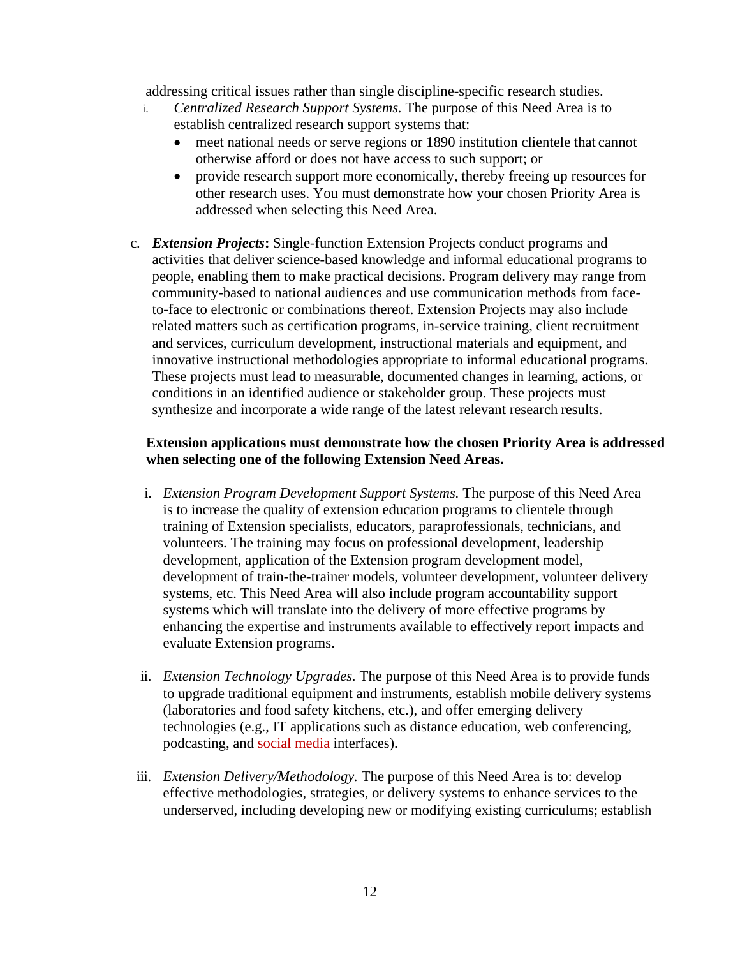addressing critical issues rather than single discipline-specific research studies.

- i. *Centralized Research Support Systems.* The purpose of this Need Area is to establish centralized research support systems that:
	- meet national needs or serve regions or 1890 institution clientele that cannot otherwise afford or does not have access to such support; or
	- provide research support more economically, thereby freeing up resources for other research uses. You must demonstrate how your chosen Priority Area is addressed when selecting this Need Area.
- c. *Extension Projects***:** Single-function Extension Projects conduct programs and activities that deliver science-based knowledge and informal educational programs to people, enabling them to make practical decisions. Program delivery may range from community-based to national audiences and use communication methods from faceto-face to electronic or combinations thereof. Extension Projects may also include related matters such as certification programs, in-service training, client recruitment and services, curriculum development, instructional materials and equipment, and innovative instructional methodologies appropriate to informal educational programs. These projects must lead to measurable, documented changes in learning, actions, or conditions in an identified audience or stakeholder group. These projects must synthesize and incorporate a wide range of the latest relevant research results.

#### **Extension applications must demonstrate how the chosen Priority Area is addressed when selecting one of the following Extension Need Areas.**

- i. *Extension Program Development Support Systems.* The purpose of this Need Area is to increase the quality of extension education programs to clientele through training of Extension specialists, educators, paraprofessionals, technicians, and volunteers. The training may focus on professional development, leadership development, application of the Extension program development model, development of train-the-trainer models, volunteer development, volunteer delivery systems, etc. This Need Area will also include program accountability support systems which will translate into the delivery of more effective programs by enhancing the expertise and instruments available to effectively report impacts and evaluate Extension programs.
- ii. *Extension Technology Upgrades.* The purpose of this Need Area is to provide funds to upgrade traditional equipment and instruments, establish mobile delivery systems (laboratories and food safety kitchens, etc.), and offer emerging delivery technologies (e.g., IT applications such as distance education, web conferencing, podcasting, and social media interfaces).
- iii. *Extension Delivery/Methodology.* The purpose of this Need Area is to: develop effective methodologies, strategies, or delivery systems to enhance services to the underserved, including developing new or modifying existing curriculums; establish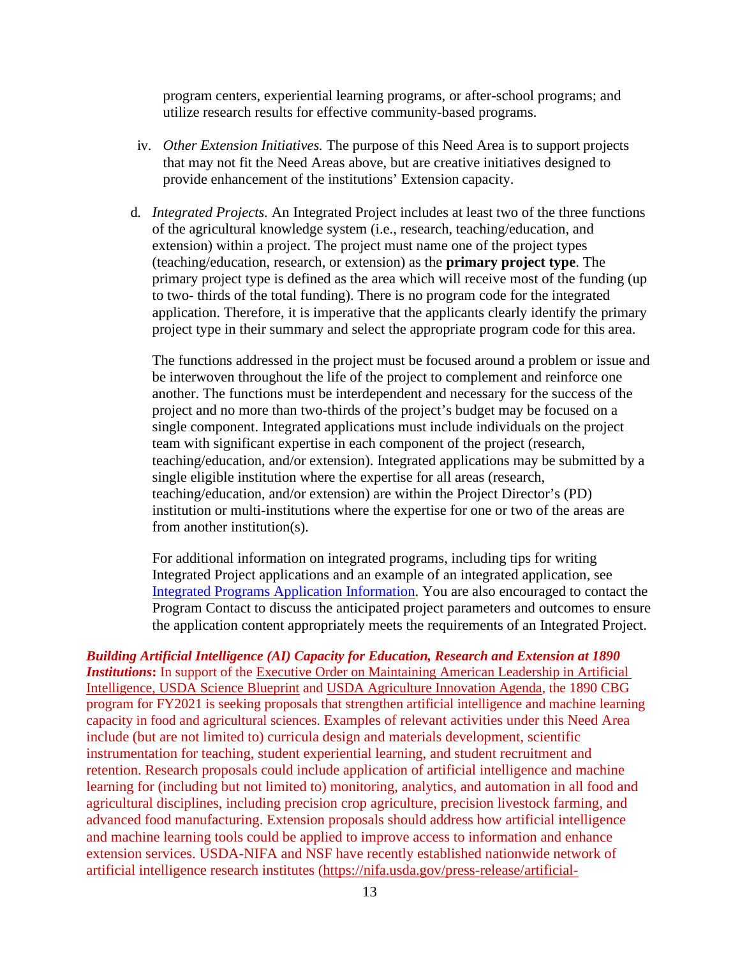program centers, experiential learning programs, or after-school programs; and utilize research results for effective community-based programs.

- iv. *Other Extension Initiatives.* The purpose of this Need Area is to support projects that may not fit the Need Areas above, but are creative initiatives designed to provide enhancement of the institutions' Extension capacity.
- d. *Integrated Projects.* An Integrated Project includes at least two of the three functions of the agricultural knowledge system (i.e., research, teaching/education, and extension) within a project. The project must name one of the project types (teaching/education, research, or extension) as the **primary project type**. The primary project type is defined as the area which will receive most of the funding (up to two- thirds of the total funding). There is no program code for the integrated application. Therefore, it is imperative that the applicants clearly identify the primary project type in their summary and select the appropriate program code for this area.

The functions addressed in the project must be focused around a problem or issue and be interwoven throughout the life of the project to complement and reinforce one another. The functions must be interdependent and necessary for the success of the project and no more than two-thirds of the project's budget may be focused on a single component. Integrated applications must include individuals on the project team with significant expertise in each component of the project (research, teaching/education, and/or extension). Integrated applications may be submitted by a single eligible institution where the expertise for all areas (research, teaching/education, and/or extension) are within the Project Director's (PD) institution or multi-institutions where the expertise for one or two of the areas are from another institution(s).

For additional information on integrated programs, including tips for writing Integrated Project applications and an example of an integrated application, see [Integrated Programs Application Information.](https://nifa.usda.gov/resource/integrated-programs-application-information) You are also encouraged to contact the Program Contact to discuss the anticipated project parameters and outcomes to ensure the application content appropriately meets the requirements of an Integrated Project.

*Building Artificial Intelligence (AI) Capacity for Education, Research and Extension at 1890 Institutions***:** In support of the [Executive Order on Maintaining American Leadership in Artificial](https://www.whitehouse.gov/presidential-actions/executive-order-maintaining-american-leadership-artificial-intelligence/)  [Intelligence,](https://www.whitehouse.gov/presidential-actions/executive-order-maintaining-american-leadership-artificial-intelligence/) [USDA Science Blueprint](https://www.usda.gov/sites/default/files/documents/usda-science-blueprint.pdf) and [USDA Agriculture Innovation Agenda,](https://www.usda.gov/sites/default/files/documents/agriculture-innovation-agenda-vision-statement.pdf) the 1890 CBG program for FY2021 is seeking proposals that strengthen artificial intelligence and machine learning capacity in food and agricultural sciences. Examples of relevant activities under this Need Area include (but are not limited to) curricula design and materials development, scientific instrumentation for teaching, student experiential learning, and student recruitment and retention. Research proposals could include application of artificial intelligence and machine learning for (including but not limited to) monitoring, analytics, and automation in all food and agricultural disciplines, including precision crop agriculture, precision livestock farming, and advanced food manufacturing. Extension proposals should address how artificial intelligence and machine learning tools could be applied to improve access to information and enhance extension services. USDA-NIFA and NSF have recently established nationwide network of artificial intelligence research institutes [\(https://nifa.usda.gov/press-release/artificial-](https://nifa.usda.gov/press-release/artificial-intelligence-research)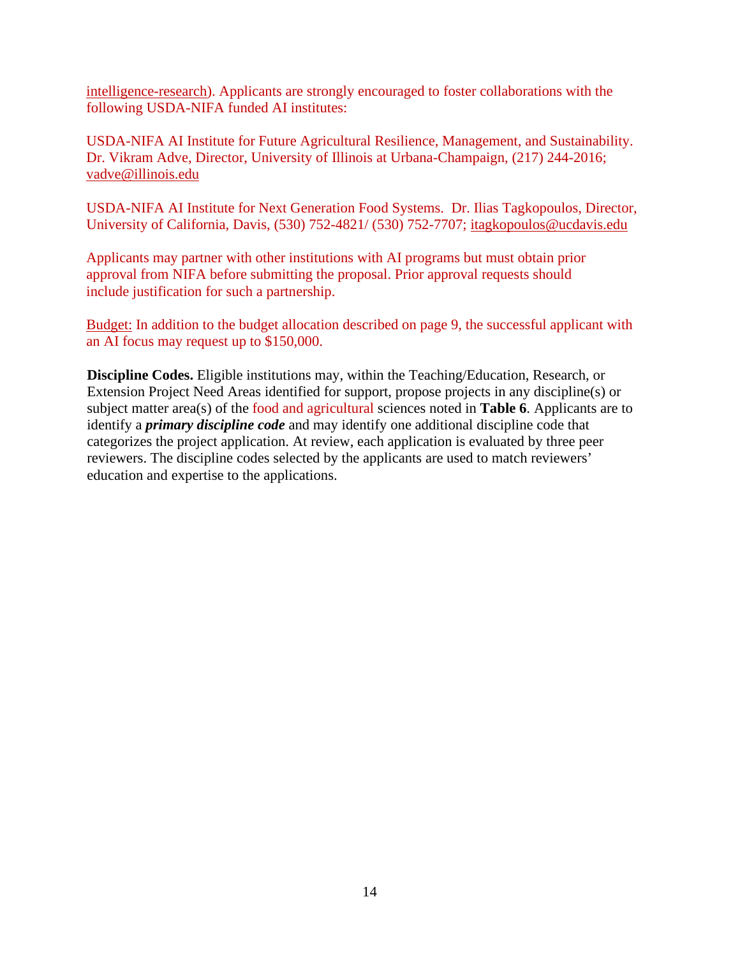[intelligence-research\)](https://nifa.usda.gov/press-release/artificial-intelligence-research). Applicants are strongly encouraged to foster collaborations with the following USDA-NIFA funded AI institutes:

USDA-NIFA AI Institute for Future Agricultural Resilience, Management, and Sustainability. Dr. Vikram Adve, Director, University of Illinois at Urbana-Champaign, (217) 244-2016; [vadve@illinois.edu](mailto:vadve@illinois.edu) 

USDA-NIFA AI Institute for Next Generation Food Systems. Dr. Ilias Tagkopoulos, Director, University of California, Davis, (530) 752-4821/ (530) 752-7707; [itagkopoulos@ucdavis.edu](mailto:itagkopoulos@ucdavis.edu)

Applicants may partner with other institutions with AI programs but must obtain prior approval from NIFA before submitting the proposal. Prior approval requests should include justification for such a partnership.

Budget: In addition to the budget allocation described on page 9, the successful applicant with an AI focus may request up to \$150,000.

**Discipline Codes.** Eligible institutions may, within the Teaching/Education, Research, or Extension Project Need Areas identified for support, propose projects in any discipline(s) or subject matter area(s) of the food and agricultural sciences noted in **Table 6**. Applicants are to identify a *primary discipline code* and may identify one additional discipline code that categorizes the project application. At review, each application is evaluated by three peer reviewers. The discipline codes selected by the applicants are used to match reviewers' education and expertise to the applications.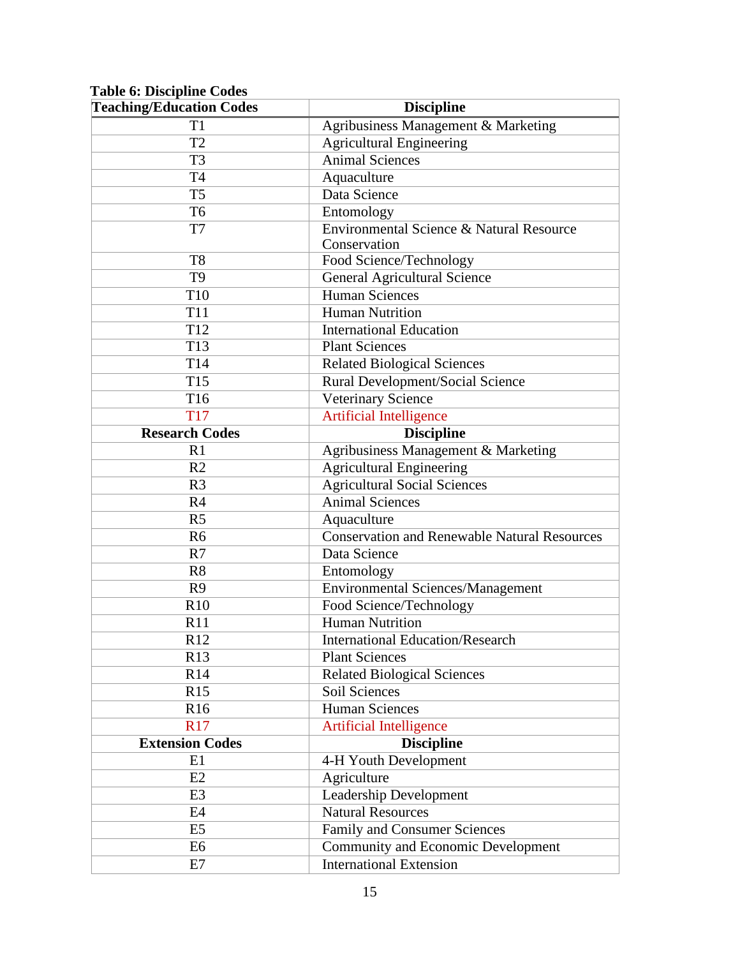## <span id="page-14-0"></span>**Table 6: Discipline Codes**

| <b>Teaching/Education Codes</b> | <b>Discipline</b>                                   |  |
|---------------------------------|-----------------------------------------------------|--|
| T1                              | Agribusiness Management & Marketing                 |  |
| T <sub>2</sub>                  | <b>Agricultural Engineering</b>                     |  |
| T <sub>3</sub>                  | <b>Animal Sciences</b>                              |  |
| <b>T4</b>                       | Aquaculture                                         |  |
| T <sub>5</sub>                  | Data Science                                        |  |
| T <sub>6</sub>                  | Entomology                                          |  |
| T7                              | Environmental Science & Natural Resource            |  |
|                                 | Conservation                                        |  |
| T <sub>8</sub>                  | Food Science/Technology                             |  |
| T <sub>9</sub>                  | <b>General Agricultural Science</b>                 |  |
| T10                             | <b>Human Sciences</b>                               |  |
| <b>T11</b>                      | <b>Human Nutrition</b>                              |  |
| T <sub>12</sub>                 | <b>International Education</b>                      |  |
| T <sub>13</sub>                 | <b>Plant Sciences</b>                               |  |
| T14                             | <b>Related Biological Sciences</b>                  |  |
| T <sub>15</sub>                 | Rural Development/Social Science                    |  |
| T <sub>16</sub>                 | Veterinary Science                                  |  |
| <b>T17</b>                      | <b>Artificial Intelligence</b>                      |  |
| <b>Research Codes</b>           | <b>Discipline</b>                                   |  |
| R1                              | Agribusiness Management & Marketing                 |  |
| R <sub>2</sub>                  | <b>Agricultural Engineering</b>                     |  |
| R <sub>3</sub>                  | <b>Agricultural Social Sciences</b>                 |  |
| R <sub>4</sub>                  | <b>Animal Sciences</b>                              |  |
| R <sub>5</sub>                  | Aquaculture                                         |  |
| R <sub>6</sub>                  | <b>Conservation and Renewable Natural Resources</b> |  |
| R7                              | Data Science                                        |  |
| R8                              | Entomology                                          |  |
| R <sub>9</sub>                  | <b>Environmental Sciences/Management</b>            |  |
| R10                             | Food Science/Technology                             |  |
| R11                             | <b>Human Nutrition</b>                              |  |
| R12                             | <b>International Education/Research</b>             |  |
| R13                             | <b>Plant Sciences</b>                               |  |
| R14                             | <b>Related Biological Sciences</b>                  |  |
| R15                             | Soil Sciences                                       |  |
| R <sub>16</sub>                 | <b>Human Sciences</b>                               |  |
| R17                             | <b>Artificial Intelligence</b>                      |  |
| <b>Extension Codes</b>          | <b>Discipline</b>                                   |  |
| E1                              | 4-H Youth Development                               |  |
| E2                              | Agriculture                                         |  |
| E3                              | Leadership Development                              |  |
| E4                              | <b>Natural Resources</b>                            |  |
| E <sub>5</sub>                  | Family and Consumer Sciences                        |  |
| E6                              | <b>Community and Economic Development</b>           |  |
| E7                              | <b>International Extension</b>                      |  |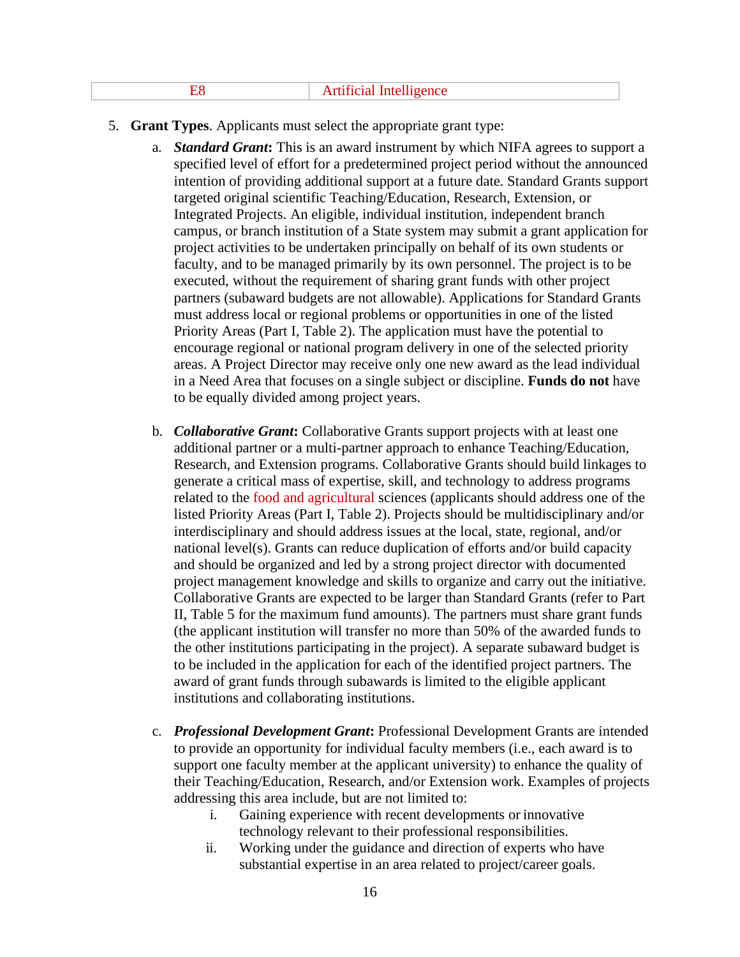|  | <b>Artificial Intelligence</b> |  |
|--|--------------------------------|--|
|--|--------------------------------|--|

- 5. **Grant Types**. Applicants must select the appropriate grant type:
	- a. *Standard Grant***:** This is an award instrument by which NIFA agrees to support a specified level of effort for a predetermined project period without the announced intention of providing additional support at a future date. Standard Grants support targeted original scientific Teaching/Education, Research, Extension, or Integrated Projects. An eligible, individual institution, independent branch campus, or branch institution of a State system may submit a grant application for project activities to be undertaken principally on behalf of its own students or faculty, and to be managed primarily by its own personnel. The project is to be executed, without the requirement of sharing grant funds with other project partners (subaward budgets are not allowable). Applications for Standard Grants must address local or regional problems or opportunities in one of the listed Priority Areas (Part I, Table 2). The application must have the potential to encourage regional or national program delivery in one of the selected priority areas. A Project Director may receive only one new award as the lead individual in a Need Area that focuses on a single subject or discipline. **Funds do not** have to be equally divided among project years.
	- b. *Collaborative Grant***:** Collaborative Grants support projects with at least one additional partner or a multi-partner approach to enhance Teaching/Education, Research, and Extension programs. Collaborative Grants should build linkages to generate a critical mass of expertise, skill, and technology to address programs related to the food and agricultural sciences (applicants should address one of the listed Priority Areas (Part I, Table 2). Projects should be multidisciplinary and/or interdisciplinary and should address issues at the local, state, regional, and/or national level(s). Grants can reduce duplication of efforts and/or build capacity and should be organized and led by a strong project director with documented project management knowledge and skills to organize and carry out the initiative. Collaborative Grants are expected to be larger than Standard Grants (refer to Part II, Table 5 for the maximum fund amounts). The partners must share grant funds (the applicant institution will transfer no more than 50% of the awarded funds to the other institutions participating in the project). A separate subaward budget is to be included in the application for each of the identified project partners. The award of grant funds through subawards is limited to the eligible applicant institutions and collaborating institutions.
	- c. *Professional Development Grant***:** Professional Development Grants are intended to provide an opportunity for individual faculty members (i.e., each award is to support one faculty member at the applicant university) to enhance the quality of their Teaching/Education, Research, and/or Extension work. Examples of projects addressing this area include, but are not limited to:
		- i. Gaining experience with recent developments or innovative technology relevant to their professional responsibilities.
		- ii. Working under the guidance and direction of experts who have substantial expertise in an area related to project/career goals.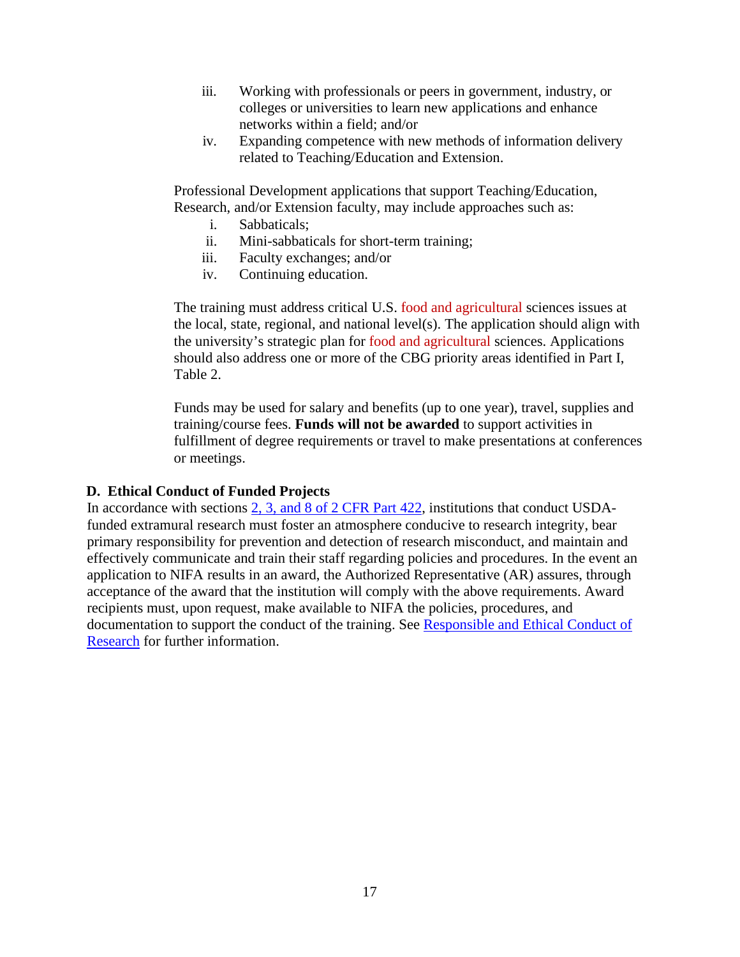- iii. Working with professionals or peers in government, industry, or colleges or universities to learn new applications and enhance networks within a field; and/or
- iv. Expanding competence with new methods of information delivery related to Teaching/Education and Extension.

Professional Development applications that support Teaching/Education, Research, and/or Extension faculty, may include approaches such as:

- i. Sabbaticals;
- ii. Mini-sabbaticals for short-term training;
- iii. Faculty exchanges; and/or
- iv. Continuing education.

The training must address critical U.S. food and agricultural sciences issues at the local, state, regional, and national level(s). The application should align with the university's strategic plan for food and agricultural sciences. Applications should also address one or more of the CBG priority areas identified in Part I, Table 2.

Funds may be used for salary and benefits (up to one year), travel, supplies and training/course fees. **Funds will not be awarded** to support activities in fulfillment of degree requirements or travel to make presentations at conferences or meetings.

#### <span id="page-16-0"></span>**D. Ethical Conduct of Funded Projects**

In accordance with sections [2, 3, and 8 of 2 CFR Part 422,](https://www.ecfr.gov/cgi-bin/text-idx?SID=85308d0fb099abf94433fe85fdba9565&mc=true&node=pt2.1.422&rgn=div5#se2.1.422_12) institutions that conduct USDAfunded extramural research must foster an atmosphere conducive to research integrity, bear primary responsibility for prevention and detection of research misconduct, and maintain and effectively communicate and train their staff regarding policies and procedures. In the event an application to NIFA results in an award, the Authorized Representative (AR) assures, through acceptance of the award that the institution will comply with the above requirements. Award recipients must, upon request, make available to NIFA the policies, procedures, and documentation to support the conduct of the training. See [Responsible and Ethical Conduct of](https://nifa.usda.gov/responsible-and-ethical-conduct-research) [Research](https://nifa.usda.gov/responsible-and-ethical-conduct-research) for further information.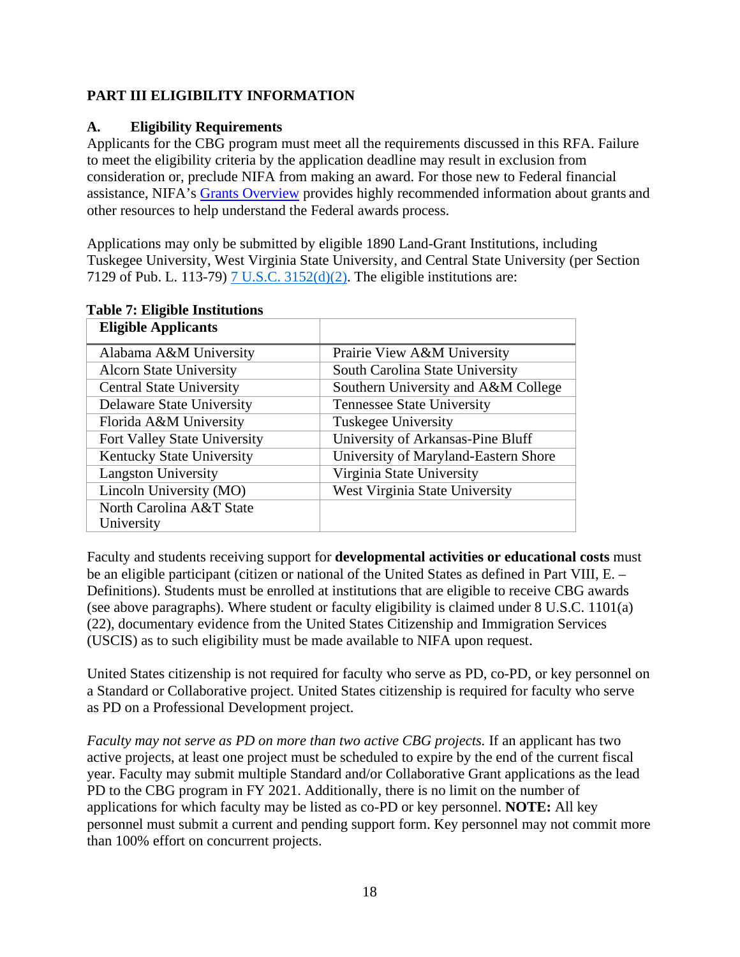## <span id="page-17-0"></span>**PART III ELIGIBILITY INFORMATION**

## <span id="page-17-1"></span>**A. Eligibility Requirements**

Applicants for the CBG program must meet all the requirements discussed in this RFA. Failure to meet the eligibility criteria by the application deadline may result in exclusion from consideration or, preclude NIFA from making an award. For those new to Federal financial assistance, NIFA's [Grants Overview](https://nifa.usda.gov/resource/grants-overview) provides highly recommended information about grants and other resources to help understand the Federal awards process.

Applications may only be submitted by eligible 1890 Land-Grant Institutions, including Tuskegee University, West Virginia State University, and Central State University (per Section 7129 of Pub. L. 113-79) [7 U.S.C. 3152\(d\)\(2\).](https://uscode.house.gov/view.xhtml?req=(title:7%20section:3152%20edition:prelim)%20OR%20(granuleid:USC-prelim-title7-section3152)&f=treesort&edition=prelim&num=0&jumpTo=true) The eligible institutions are:

| <b>Eligible Applicants</b>       |                                      |
|----------------------------------|--------------------------------------|
| Alabama A&M University           | Prairie View A&M University          |
| <b>Alcorn State University</b>   | South Carolina State University      |
| <b>Central State University</b>  | Southern University and A&M College  |
| <b>Delaware State University</b> | <b>Tennessee State University</b>    |
| Florida A&M University           | <b>Tuskegee University</b>           |
| Fort Valley State University     | University of Arkansas-Pine Bluff    |
| Kentucky State University        | University of Maryland-Eastern Shore |
| <b>Langston University</b>       | Virginia State University            |
| Lincoln University (MO)          | West Virginia State University       |
| North Carolina A&T State         |                                      |
| University                       |                                      |

#### <span id="page-17-2"></span>**Table 7: Eligible Institutions**

Faculty and students receiving support for **developmental activities or educational costs** must be an eligible participant (citizen or national of the United States as defined in Part VIII, E. – Definitions). Students must be enrolled at institutions that are eligible to receive CBG awards (see above paragraphs). Where student or faculty eligibility is claimed under 8 U.S.C. 1101(a) (22), documentary evidence from the United States Citizenship and Immigration Services (USCIS) as to such eligibility must be made available to NIFA upon request.

United States citizenship is not required for faculty who serve as PD, co-PD, or key personnel on a Standard or Collaborative project. United States citizenship is required for faculty who serve as PD on a Professional Development project.

*Faculty may not serve as PD on more than two active CBG projects.* If an applicant has two active projects, at least one project must be scheduled to expire by the end of the current fiscal year. Faculty may submit multiple Standard and/or Collaborative Grant applications as the lead PD to the CBG program in FY 2021. Additionally, there is no limit on the number of applications for which faculty may be listed as co-PD or key personnel. **NOTE:** All key personnel must submit a current and pending support form. Key personnel may not commit more than 100% effort on concurrent projects.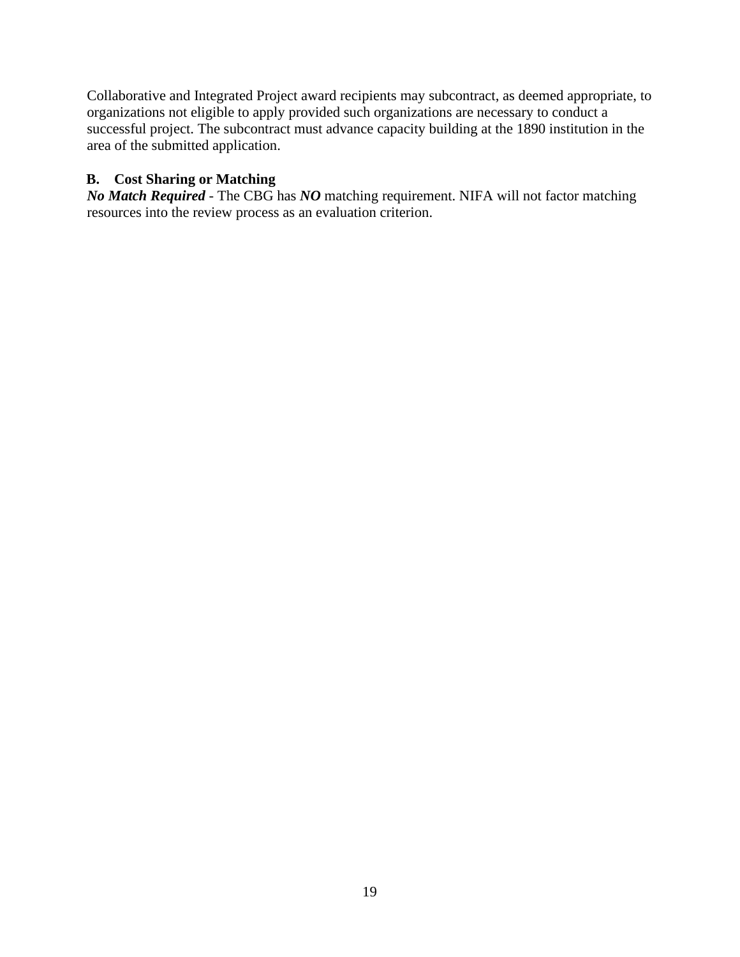Collaborative and Integrated Project award recipients may subcontract, as deemed appropriate, to organizations not eligible to apply provided such organizations are necessary to conduct a successful project. The subcontract must advance capacity building at the 1890 institution in the area of the submitted application.

## <span id="page-18-0"></span>**B. Cost Sharing or Matching**

*No Match Required* - The CBG has *NO* matching requirement. NIFA will not factor matching resources into the review process as an evaluation criterion.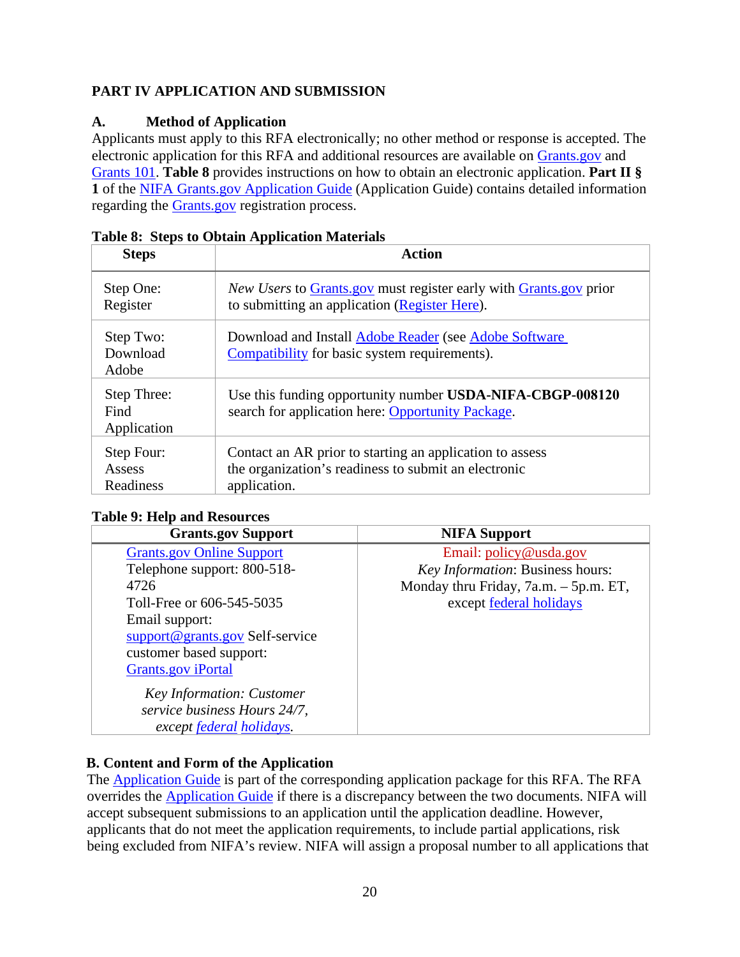# <span id="page-19-0"></span>**PART IV APPLICATION AND SUBMISSION**

## <span id="page-19-1"></span>**A. Method of Application**

Applicants must apply to this RFA electronically; no other method or response is accepted. The electronic application for this RFA and additional resources are available on [Grants.gov a](https://www.grants.gov/)nd [Grants 101.](https://www.grants.gov/web/grants/learn-grants/grants-101/pre-award-phase.html/) **Table 8** provides instructions on how to obtain an electronic application. **Part II § 1** of the [NIFA Grants.gov Application Guide \(](https://apply07.grants.gov/apply/opportunities/instructions/PKG00249520-instructions.pdf)Application Guide) contains detailed information regarding the [Grants.gov r](https://www.grants.gov/)egistration process.

| <b>Steps</b>                       | <b>Action</b>                                                                                                                    |
|------------------------------------|----------------------------------------------------------------------------------------------------------------------------------|
| Step One:<br>Register              | <i>New Users</i> to Grants gov must register early with Grants gov prior<br>to submitting an application (Register Here).        |
| Step Two:<br>Download<br>Adobe     | Download and Install Adobe Reader (see Adobe Software<br>Compatibility for basic system requirements).                           |
| Step Three:<br>Find<br>Application | Use this funding opportunity number USDA-NIFA-CBGP-008120<br>search for application here: Opportunity Package.                   |
| Step Four:<br>Assess<br>Readiness  | Contact an AR prior to starting an application to assess<br>the organization's readiness to submit an electronic<br>application. |

<span id="page-19-3"></span>

## <span id="page-19-4"></span>**Table 9: Help and Resources**

| <b>Grants.gov Support</b>        | <b>NIFA Support</b>                   |
|----------------------------------|---------------------------------------|
| <b>Grants.gov Online Support</b> | Email: policy@usda.gov                |
| Telephone support: 800-518-      | Key Information: Business hours:      |
| 4726                             | Monday thru Friday, 7a.m. – 5p.m. ET, |
| Toll-Free or 606-545-5035        | except federal holidays               |
| Email support:                   |                                       |
| support@grants.gov Self-service  |                                       |
| customer based support:          |                                       |
| <b>Grants.gov</b> iPortal        |                                       |
| <b>Key Information: Customer</b> |                                       |
| service business Hours 24/7,     |                                       |
| except federal holidays.         |                                       |

# <span id="page-19-2"></span>**B. Content and Form of the Application**

The [Application Guide i](https://apply07.grants.gov/apply/opportunities/instructions/PKG00249520-instructions.pdf)s part of the corresponding application package for this RFA. The RFA overrides the [Application Guide i](https://apply07.grants.gov/apply/opportunities/instructions/PKG00249520-instructions.pdf)f there is a discrepancy between the two documents. NIFA will accept subsequent submissions to an application until the application deadline. However, applicants that do not meet the application requirements, to include partial applications, risk being excluded from NIFA's review. NIFA will assign a proposal number to all applications that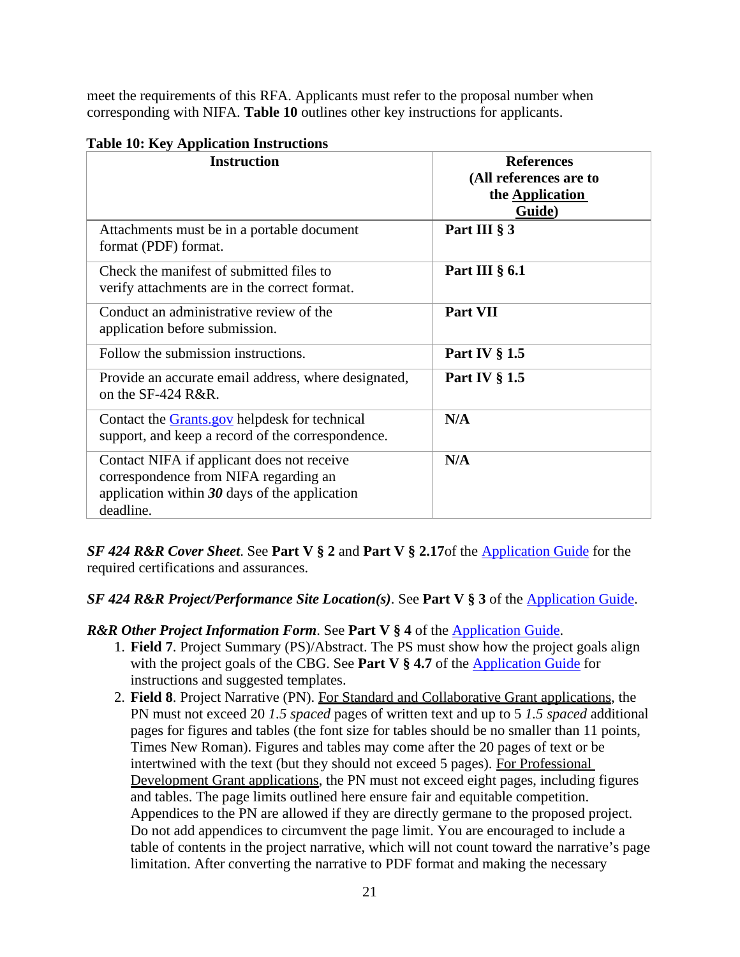meet the requirements of this RFA. Applicants must refer to the proposal number when corresponding with NIFA. **Table 10** outlines other key instructions for applicants.

| <b>Instruction</b>                                                                                                                                  | <b>References</b><br>(All references are to<br>the <b>Application</b><br><b>Guide</b> ) |
|-----------------------------------------------------------------------------------------------------------------------------------------------------|-----------------------------------------------------------------------------------------|
| Attachments must be in a portable document<br>format (PDF) format.                                                                                  | Part III § 3                                                                            |
| Check the manifest of submitted files to<br>verify attachments are in the correct format.                                                           | Part III $\S$ 6.1                                                                       |
| Conduct an administrative review of the<br>application before submission.                                                                           | Part VII                                                                                |
| Follow the submission instructions.                                                                                                                 | Part IV $\S 1.5$                                                                        |
| Provide an accurate email address, where designated,<br>on the SF-424 $R\&R$ .                                                                      | Part IV $\S$ 1.5                                                                        |
| Contact the <b>Grants</b> gov helpdesk for technical<br>support, and keep a record of the correspondence.                                           | N/A                                                                                     |
| Contact NIFA if applicant does not receive<br>correspondence from NIFA regarding an<br>application within $30$ days of the application<br>deadline. | N/A                                                                                     |

#### <span id="page-20-0"></span>**Table 10: Key Application Instructions**

*SF 424 R&R Cover Sheet*. See **Part V § 2** and **Part V § 2.17**of the [Application Guide](https://apply07.grants.gov/apply/opportunities/instructions/PKG00249520-instructions.pdf) for the required certifications and assurances.

## *SF 424 R&R Project/Performance Site Location(s)*. See **Part V § 3** of the [Application Guide.](https://apply07.grants.gov/apply/opportunities/instructions/PKG00249520-instructions.pdf)

**R&R Other Project Information Form. See Part V § 4 of the [Application Guide.](https://apply07.grants.gov/apply/opportunities/instructions/PKG00249520-instructions.pdf)** 

- 1. **Field 7**. Project Summary (PS)/Abstract. The PS must show how the project goals align with the project goals of the CBG. See **Part V § 4.7** of the [Application Guide f](https://apply07.grants.gov/apply/opportunities/instructions/PKG00249520-instructions.pdf)or instructions and suggested templates.
- 2. **Field 8**. Project Narrative (PN). For Standard and Collaborative Grant applications, the PN must not exceed 20 *1.5 spaced* pages of written text and up to 5 *1.5 spaced* additional pages for figures and tables (the font size for tables should be no smaller than 11 points, Times New Roman). Figures and tables may come after the 20 pages of text or be intertwined with the text (but they should not exceed 5 pages). For Professional Development Grant applications, the PN must not exceed eight pages, including figures and tables. The page limits outlined here ensure fair and equitable competition. Appendices to the PN are allowed if they are directly germane to the proposed project. Do not add appendices to circumvent the page limit. You are encouraged to include a table of contents in the project narrative, which will not count toward the narrative's page limitation. After converting the narrative to PDF format and making the necessary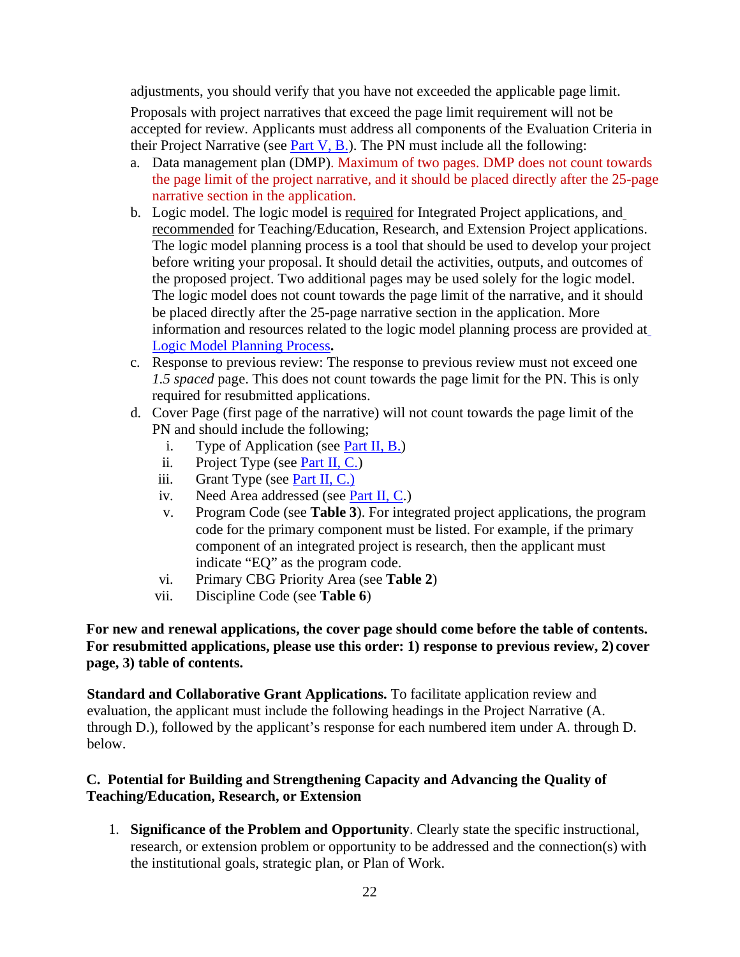adjustments, you should verify that you have not exceeded the applicable page limit.

Proposals with project narratives that exceed the page limit requirement will not be accepted for review. Applicants must address all components of the Evaluation Criteria in their Project Narrative (see Part V,  $\overline{B}$ .). The PN must include all the following:

- a. Data management plan (DMP). Maximum of two pages. DMP does not count towards the page limit of the project narrative, and it should be placed directly after the 25-page narrative section in the application.
- b. Logic model. The logic model is required for Integrated Project applications, and recommended for Teaching/Education, Research, and Extension Project applications. The logic model planning process is a tool that should be used to develop your project before writing your proposal. It should detail the activities, outputs, and outcomes of the proposed project. Two additional pages may be used solely for the logic model. The logic model does not count towards the page limit of the narrative, and it should be placed directly after the 25-page narrative section in the application. More information and resources related to the logic model planning process are provided at [Logic Model Planning Process](https://nifa.usda.gov/resource/logic-model-planning-process)**.**
- c. Response to previous review: The response to previous review must not exceed one *1.5 spaced* page. This does not count towards the page limit for the PN. This is only required for resubmitted applications.
- d. Cover Page (first page of the narrative) will not count towards the page limit of the PN and should include the following;
	- i. Type of Application (see Part II, B.)
	- ii. Project Type (see Part II, C.)
	- iii. Grant Type (see Part II, C.)
	- iv. Need Area addressed (see Part II, C.)
	- v. Program Code (see **Table 3**). For integrated project applications, the program code for the primary component must be listed. For example, if the primary component of an integrated project is research, then the applicant must indicate "EQ" as the program code.
	- vi. Primary CBG Priority Area (see **Table 2**)
	- vii. Discipline Code (see **Table 6**)

#### **For new and renewal applications, the cover page should come before the table of contents. For resubmitted applications, please use this order: 1) response to previous review, 2) cover page, 3) table of contents.**

**Standard and Collaborative Grant Applications.** To facilitate application review and evaluation, the applicant must include the following headings in the Project Narrative (A. through D.), followed by the applicant's response for each numbered item under A. through D. below.

## <span id="page-21-0"></span>**C. Potential for Building and Strengthening Capacity and Advancing the Quality of Teaching/Education, Research, or Extension**

1. **Significance of the Problem and Opportunity**. Clearly state the specific instructional, research, or extension problem or opportunity to be addressed and the connection(s) with the institutional goals, strategic plan, or Plan of Work.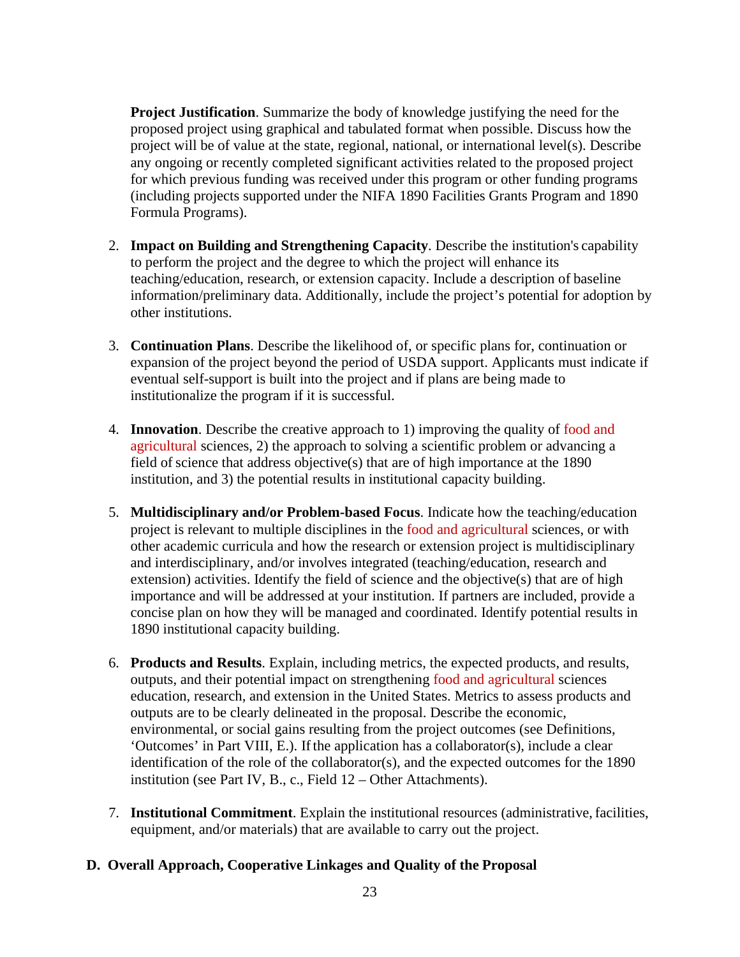**Project Justification**. Summarize the body of knowledge justifying the need for the proposed project using graphical and tabulated format when possible. Discuss how the project will be of value at the state, regional, national, or international level(s). Describe any ongoing or recently completed significant activities related to the proposed project for which previous funding was received under this program or other funding programs (including projects supported under the NIFA 1890 Facilities Grants Program and 1890 Formula Programs).

- 2. **Impact on Building and Strengthening Capacity**. Describe the institution's capability to perform the project and the degree to which the project will enhance its teaching/education, research, or extension capacity. Include a description of baseline information/preliminary data. Additionally, include the project's potential for adoption by other institutions.
- 3. **Continuation Plans**. Describe the likelihood of, or specific plans for, continuation or expansion of the project beyond the period of USDA support. Applicants must indicate if eventual self-support is built into the project and if plans are being made to institutionalize the program if it is successful.
- 4. **Innovation**. Describe the creative approach to 1) improving the quality of food and agricultural sciences, 2) the approach to solving a scientific problem or advancing a field of science that address objective(s) that are of high importance at the 1890 institution, and 3) the potential results in institutional capacity building.
- 5. **Multidisciplinary and/or Problem-based Focus**. Indicate how the teaching/education project is relevant to multiple disciplines in the food and agricultural sciences, or with other academic curricula and how the research or extension project is multidisciplinary and interdisciplinary, and/or involves integrated (teaching/education, research and extension) activities. Identify the field of science and the objective(s) that are of high importance and will be addressed at your institution. If partners are included, provide a concise plan on how they will be managed and coordinated. Identify potential results in 1890 institutional capacity building.
- 6. **Products and Results**. Explain, including metrics, the expected products, and results, outputs, and their potential impact on strengthening food and agricultural sciences education, research, and extension in the United States. Metrics to assess products and outputs are to be clearly delineated in the proposal. Describe the economic, environmental, or social gains resulting from the project outcomes (see Definitions, 'Outcomes' in Part VIII, E.). Ifthe application has a collaborator(s), include a clear identification of the role of the collaborator(s), and the expected outcomes for the 1890 institution (see Part IV, B., c., Field 12 – Other Attachments).
- 7. **Institutional Commitment**. Explain the institutional resources (administrative, facilities, equipment, and/or materials) that are available to carry out the project.

## <span id="page-22-0"></span>**D. Overall Approach, Cooperative Linkages and Quality of the Proposal**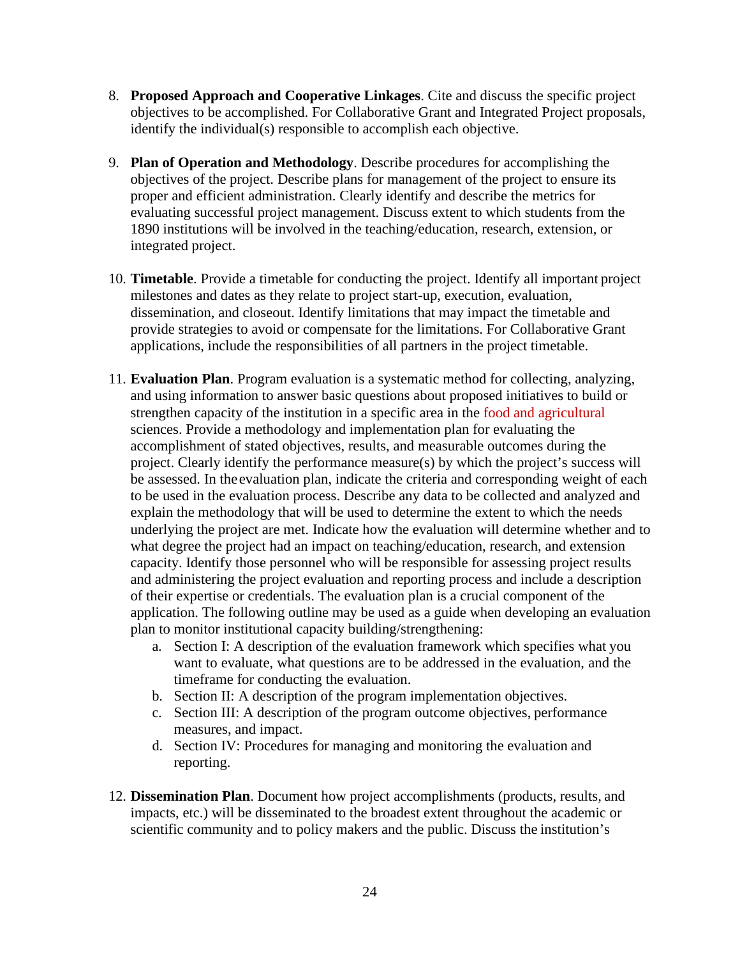- 8. **Proposed Approach and Cooperative Linkages**. Cite and discuss the specific project objectives to be accomplished. For Collaborative Grant and Integrated Project proposals, identify the individual(s) responsible to accomplish each objective.
- 9. **Plan of Operation and Methodology**. Describe procedures for accomplishing the objectives of the project. Describe plans for management of the project to ensure its proper and efficient administration. Clearly identify and describe the metrics for evaluating successful project management. Discuss extent to which students from the 1890 institutions will be involved in the teaching/education, research, extension, or integrated project.
- 10. **Timetable**. Provide a timetable for conducting the project. Identify all important project milestones and dates as they relate to project start-up, execution, evaluation, dissemination, and closeout. Identify limitations that may impact the timetable and provide strategies to avoid or compensate for the limitations. For Collaborative Grant applications, include the responsibilities of all partners in the project timetable.
- 11. **Evaluation Plan**. Program evaluation is a systematic method for collecting, analyzing, and using information to answer basic questions about proposed initiatives to build or strengthen capacity of the institution in a specific area in the food and agricultural sciences. Provide a methodology and implementation plan for evaluating the accomplishment of stated objectives, results, and measurable outcomes during the project. Clearly identify the performance measure(s) by which the project's success will be assessed. In the evaluation plan, indicate the criteria and corresponding weight of each to be used in the evaluation process. Describe any data to be collected and analyzed and explain the methodology that will be used to determine the extent to which the needs underlying the project are met. Indicate how the evaluation will determine whether and to what degree the project had an impact on teaching/education, research, and extension capacity. Identify those personnel who will be responsible for assessing project results and administering the project evaluation and reporting process and include a description of their expertise or credentials. The evaluation plan is a crucial component of the application. The following outline may be used as a guide when developing an evaluation plan to monitor institutional capacity building/strengthening:
	- a. Section I: A description of the evaluation framework which specifies what you want to evaluate, what questions are to be addressed in the evaluation, and the timeframe for conducting the evaluation.
	- b. Section II: A description of the program implementation objectives.
	- c. Section III: A description of the program outcome objectives, performance measures, and impact.
	- d. Section IV: Procedures for managing and monitoring the evaluation and reporting.
- 12. **Dissemination Plan**. Document how project accomplishments (products, results, and impacts, etc.) will be disseminated to the broadest extent throughout the academic or scientific community and to policy makers and the public. Discuss the institution's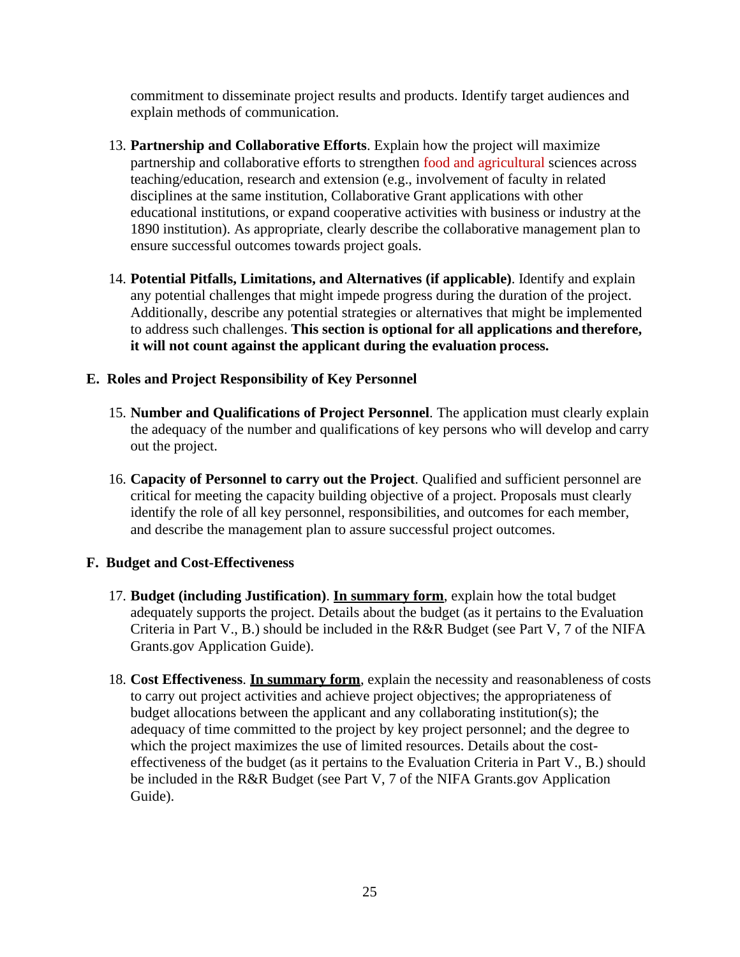commitment to disseminate project results and products. Identify target audiences and explain methods of communication.

- 13. **Partnership and Collaborative Efforts**. Explain how the project will maximize partnership and collaborative efforts to strengthen food and agricultural sciences across teaching/education, research and extension (e.g., involvement of faculty in related disciplines at the same institution, Collaborative Grant applications with other educational institutions, or expand cooperative activities with business or industry at the 1890 institution). As appropriate, clearly describe the collaborative management plan to ensure successful outcomes towards project goals.
- 14. **Potential Pitfalls, Limitations, and Alternatives (if applicable)**. Identify and explain any potential challenges that might impede progress during the duration of the project. Additionally, describe any potential strategies or alternatives that might be implemented to address such challenges. **This section is optional for all applications and therefore, it will not count against the applicant during the evaluation process.**

#### **E. Roles and Project Responsibility of Key Personnel**

- 15. **Number and Qualifications of Project Personnel**. The application must clearly explain the adequacy of the number and qualifications of key persons who will develop and carry out the project.
- 16. **Capacity of Personnel to carry out the Project**. Qualified and sufficient personnel are critical for meeting the capacity building objective of a project. Proposals must clearly identify the role of all key personnel, responsibilities, and outcomes for each member, and describe the management plan to assure successful project outcomes.

#### **F. Budget and Cost-Effectiveness**

- 17. **Budget (including Justification)**. **In summary form**, explain how the total budget adequately supports the project. Details about the budget (as it pertains to the Evaluation Criteria in Part V., B.) should be included in the R&R Budget (see Part V, 7 of the NIFA Grants.gov Application Guide).
- 18. **Cost Effectiveness**. **In summary form**, explain the necessity and reasonableness of costs to carry out project activities and achieve project objectives; the appropriateness of budget allocations between the applicant and any collaborating institution(s); the adequacy of time committed to the project by key project personnel; and the degree to which the project maximizes the use of limited resources. Details about the costeffectiveness of the budget (as it pertains to the Evaluation Criteria in Part V., B.) should be included in the R&R Budget (see Part V, 7 of the NIFA Grants.gov Application Guide).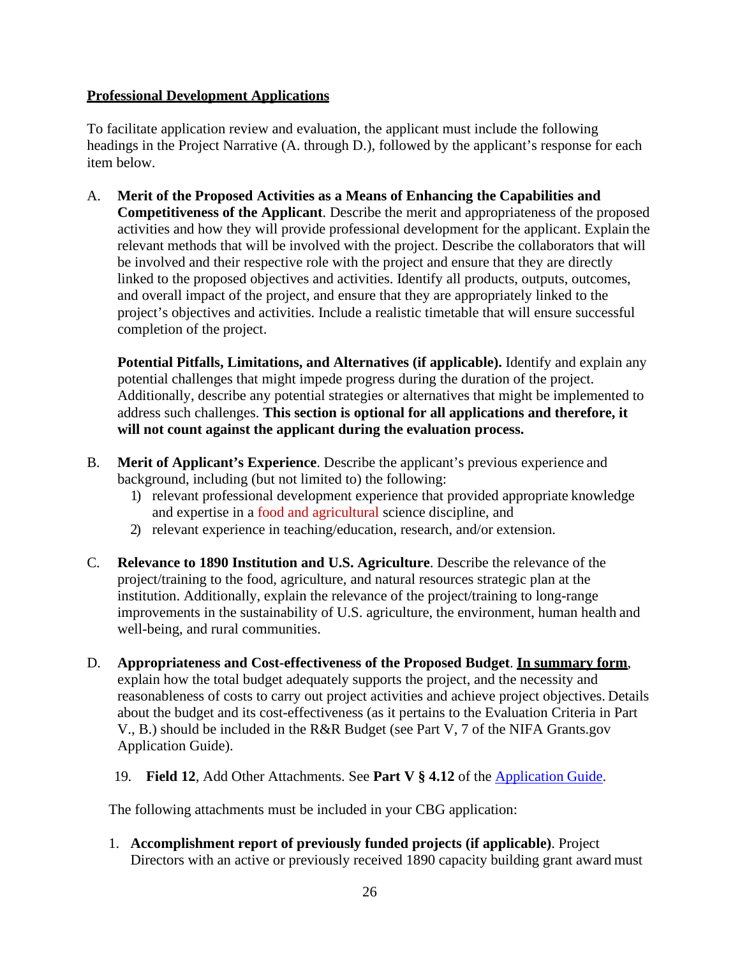#### **Professional Development Applications**

To facilitate application review and evaluation, the applicant must include the following headings in the Project Narrative (A. through D.), followed by the applicant's response for each item below.

A. **Merit of the Proposed Activities as a Means of Enhancing the Capabilities and Competitiveness of the Applicant**. Describe the merit and appropriateness of the proposed activities and how they will provide professional development for the applicant. Explain the relevant methods that will be involved with the project. Describe the collaborators that will be involved and their respective role with the project and ensure that they are directly linked to the proposed objectives and activities. Identify all products, outputs, outcomes, and overall impact of the project, and ensure that they are appropriately linked to the project's objectives and activities. Include a realistic timetable that will ensure successful completion of the project.

**Potential Pitfalls, Limitations, and Alternatives (if applicable).** Identify and explain any potential challenges that might impede progress during the duration of the project. Additionally, describe any potential strategies or alternatives that might be implemented to address such challenges. **This section is optional for all applications and therefore, it will not count against the applicant during the evaluation process.**

- B. **Merit of Applicant's Experience**. Describe the applicant's previous experience and background, including (but not limited to) the following:
	- 1) relevant professional development experience that provided appropriate knowledge and expertise in a food and agricultural science discipline, and
	- 2) relevant experience in teaching/education, research, and/or extension.
- C. **Relevance to 1890 Institution and U.S. Agriculture**. Describe the relevance of the project/training to the food, agriculture, and natural resources strategic plan at the institution. Additionally, explain the relevance of the project/training to long-range improvements in the sustainability of U.S. agriculture, the environment, human health and well-being, and rural communities.
- D. **Appropriateness and Cost-effectiveness of the Proposed Budget**. **In summary form**, explain how the total budget adequately supports the project, and the necessity and reasonableness of costs to carry out project activities and achieve project objectives. Details about the budget and its cost-effectiveness (as it pertains to the Evaluation Criteria in Part V., B.) should be included in the R&R Budget (see Part V, 7 of the NIFA Grants.gov Application Guide).
	- 19. **Field 12**, Add Other Attachments. See **Part V § 4.12** of the [Application](https://apply07.grants.gov/apply/opportunities/instructions/PKG00249520-instructions.pdf) Guide.

The following attachments must be included in your CBG application:

1. **Accomplishment report of previously funded projects (if applicable)**. Project Directors with an active or previously received 1890 capacity building grant award must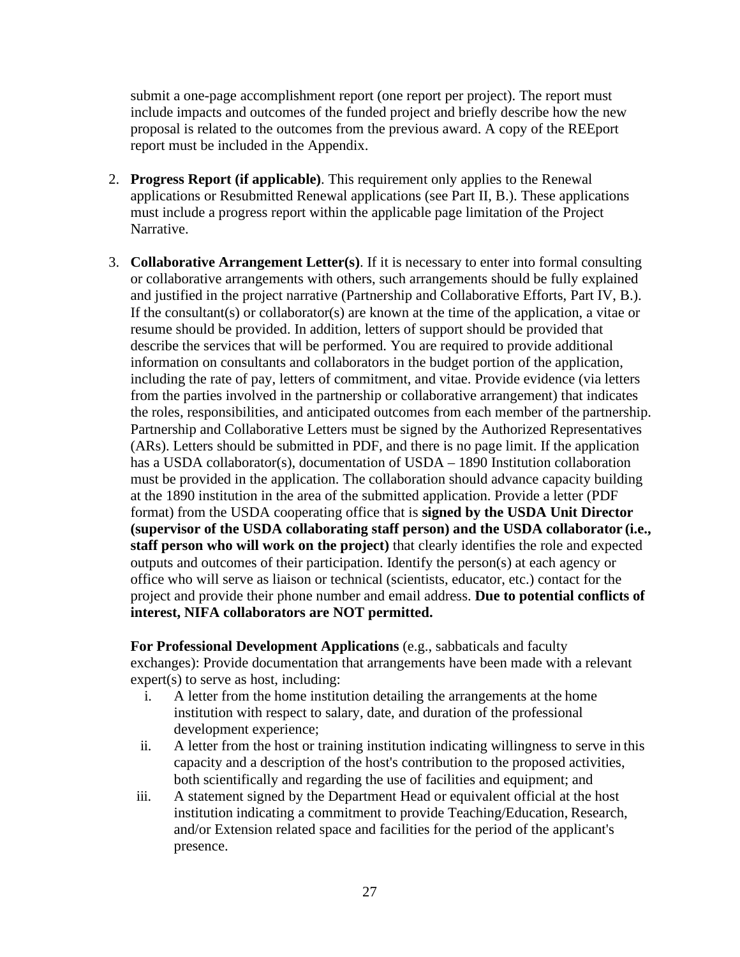submit a one-page accomplishment report (one report per project). The report must include impacts and outcomes of the funded project and briefly describe how the new proposal is related to the outcomes from the previous award. A copy of the REEport report must be included in the Appendix.

- 2. **Progress Report (if applicable)**. This requirement only applies to the Renewal applications or Resubmitted Renewal applications (see Part II, B.). These applications must include a progress report within the applicable page limitation of the Project Narrative.
- 3. **Collaborative Arrangement Letter(s)**. If it is necessary to enter into formal consulting or collaborative arrangements with others, such arrangements should be fully explained and justified in the project narrative (Partnership and Collaborative Efforts, Part IV, B.). If the consultant(s) or collaborator(s) are known at the time of the application, a vitae or resume should be provided. In addition, letters of support should be provided that describe the services that will be performed. You are required to provide additional information on consultants and collaborators in the budget portion of the application, including the rate of pay, letters of commitment, and vitae. Provide evidence (via letters from the parties involved in the partnership or collaborative arrangement) that indicates the roles, responsibilities, and anticipated outcomes from each member of the partnership. Partnership and Collaborative Letters must be signed by the Authorized Representatives (ARs). Letters should be submitted in PDF, and there is no page limit. If the application has a USDA collaborator(s), documentation of USDA – 1890 Institution collaboration must be provided in the application. The collaboration should advance capacity building at the 1890 institution in the area of the submitted application. Provide a letter (PDF format) from the USDA cooperating office that is **signed by the USDA Unit Director (supervisor of the USDA collaborating staff person) and the USDA collaborator (i.e., staff person who will work on the project)** that clearly identifies the role and expected outputs and outcomes of their participation. Identify the person(s) at each agency or office who will serve as liaison or technical (scientists, educator, etc.) contact for the project and provide their phone number and email address. **Due to potential conflicts of interest, NIFA collaborators are NOT permitted.**

**For Professional Development Applications** (e.g., sabbaticals and faculty exchanges): Provide documentation that arrangements have been made with a relevant expert(s) to serve as host, including:

- i. A letter from the home institution detailing the arrangements at the home institution with respect to salary, date, and duration of the professional development experience;
- ii. A letter from the host or training institution indicating willingness to serve in this capacity and a description of the host's contribution to the proposed activities, both scientifically and regarding the use of facilities and equipment; and
- iii. A statement signed by the Department Head or equivalent official at the host institution indicating a commitment to provide Teaching/Education, Research, and/or Extension related space and facilities for the period of the applicant's presence.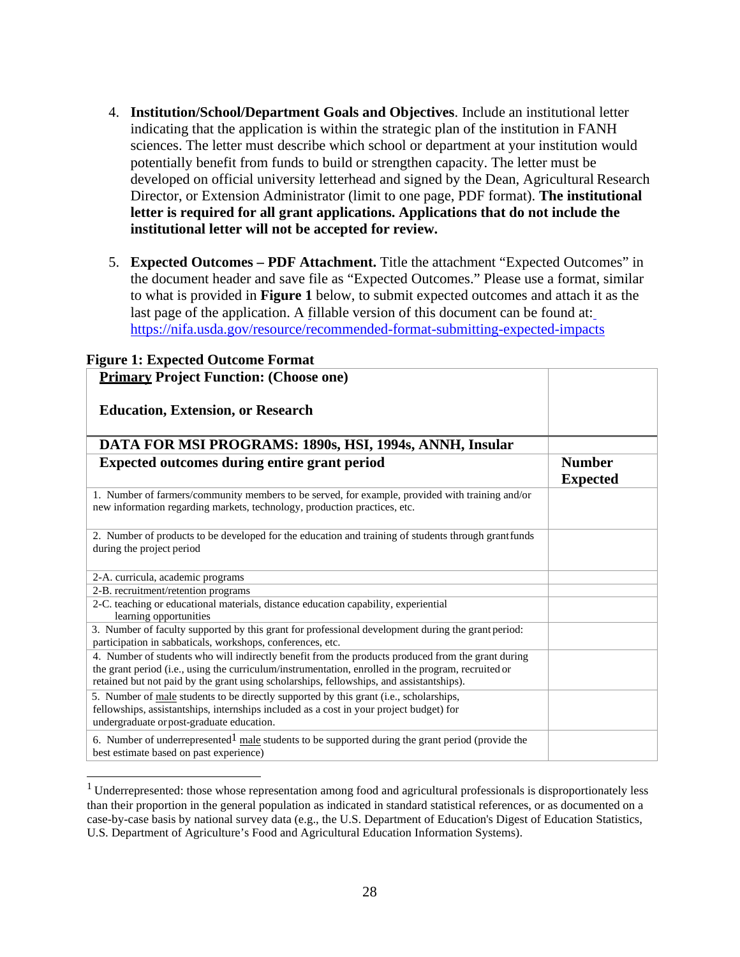- 4. **Institution/School/Department Goals and Objectives**. Include an institutional letter indicating that the application is within the strategic plan of the institution in FANH sciences. The letter must describe which school or department at your institution would potentially benefit from funds to build or strengthen capacity. The letter must be developed on official university letterhead and signed by the Dean, Agricultural Research Director, or Extension Administrator (limit to one page, PDF format). **The institutional letter is required for all grant applications. Applications that do not include the institutional letter will not be accepted for review.**
- 5. **Expected Outcomes PDF Attachment.** Title the attachment "Expected Outcomes" in the document header and save file as "Expected Outcomes." Please use a format, similar to what is provided in **Figure 1** below, to submit expected outcomes and attach it as the last page of the application. A fillable version of this document can be found at: <https://nifa.usda.gov/resource/recommended-format-submitting-expected-impacts>

| <b>Primary Project Function: (Choose one)</b>                                                                                                                                                                                                                                                         |                                  |
|-------------------------------------------------------------------------------------------------------------------------------------------------------------------------------------------------------------------------------------------------------------------------------------------------------|----------------------------------|
| <b>Education, Extension, or Research</b>                                                                                                                                                                                                                                                              |                                  |
| DATA FOR MSI PROGRAMS: 1890s, HSI, 1994s, ANNH, Insular                                                                                                                                                                                                                                               |                                  |
| <b>Expected outcomes during entire grant period</b>                                                                                                                                                                                                                                                   | <b>Number</b><br><b>Expected</b> |
| 1. Number of farmers/community members to be served, for example, provided with training and/or<br>new information regarding markets, technology, production practices, etc.                                                                                                                          |                                  |
| 2. Number of products to be developed for the education and training of students through grantfunds<br>during the project period                                                                                                                                                                      |                                  |
| 2-A. curricula, academic programs                                                                                                                                                                                                                                                                     |                                  |
| 2-B. recruitment/retention programs                                                                                                                                                                                                                                                                   |                                  |
| 2-C. teaching or educational materials, distance education capability, experiential<br>learning opportunities                                                                                                                                                                                         |                                  |
| 3. Number of faculty supported by this grant for professional development during the grant period:<br>participation in sabbaticals, workshops, conferences, etc.                                                                                                                                      |                                  |
| 4. Number of students who will indirectly benefit from the products produced from the grant during<br>the grant period (i.e., using the curriculum/instrumentation, enrolled in the program, recruited or<br>retained but not paid by the grant using scholarships, fellowships, and assistantships). |                                  |
| 5. Number of male students to be directly supported by this grant (i.e., scholarships,<br>fellowships, assistantships, internships included as a cost in your project budget) for<br>undergraduate or post-graduate education.                                                                        |                                  |
| 6. Number of underrepresented $1$ male students to be supported during the grant period (provide the<br>best estimate based on past experience)                                                                                                                                                       |                                  |

#### <span id="page-27-0"></span>**Figure 1: Expected Outcome Format**

<sup>&</sup>lt;sup>1</sup> Underrepresented: those whose representation among food and agricultural professionals is disproportionately less than their proportion in the general population as indicated in standard statistical references, or as documented on a case-by-case basis by national survey data (e.g., the U.S. Department of Education's Digest of Education Statistics, U.S. Department of Agriculture's Food and Agricultural Education Information Systems).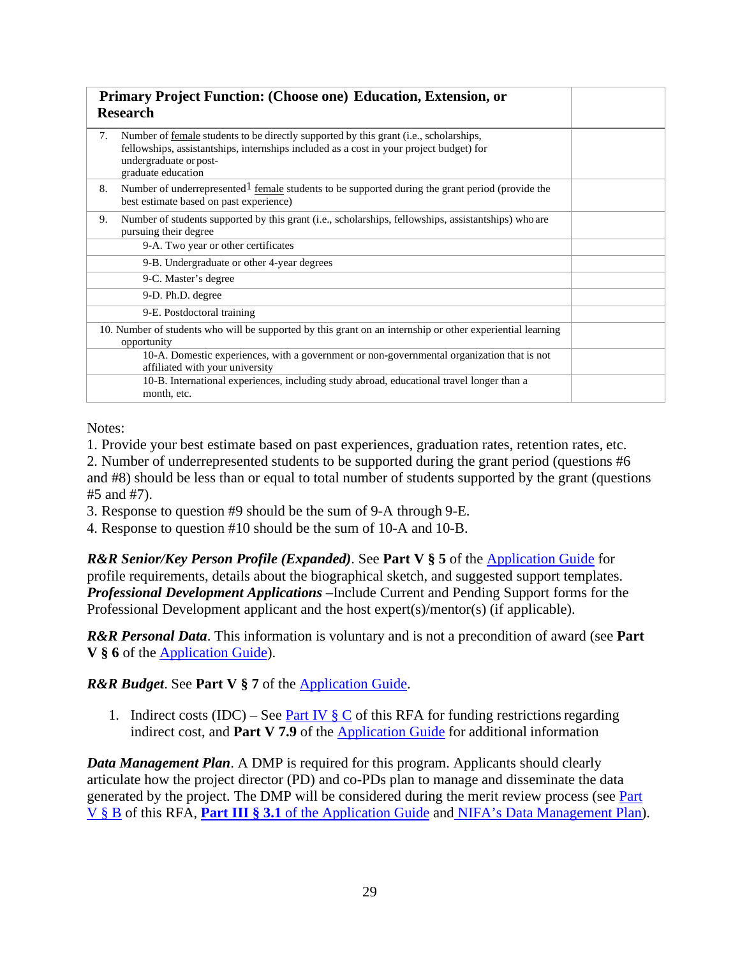| Primary Project Function: (Choose one) Education, Extension, or<br><b>Research</b>                                                                                                                                                     |  |
|----------------------------------------------------------------------------------------------------------------------------------------------------------------------------------------------------------------------------------------|--|
| Number of female students to be directly supported by this grant (i.e., scholarships,<br>7.<br>fellowships, assistantships, internships included as a cost in your project budget) for<br>undergraduate or post-<br>graduate education |  |
| Number of underrepresented $\frac{1}{2}$ female students to be supported during the grant period (provide the<br>8.<br>best estimate based on past experience)                                                                         |  |
| Number of students supported by this grant (i.e., scholarships, fellowships, assistantships) who are<br>9.<br>pursuing their degree                                                                                                    |  |
| 9-A. Two year or other certificates                                                                                                                                                                                                    |  |
| 9-B. Undergraduate or other 4-year degrees                                                                                                                                                                                             |  |
| 9-C. Master's degree                                                                                                                                                                                                                   |  |
| 9-D. Ph.D. degree                                                                                                                                                                                                                      |  |
| 9-E. Postdoctoral training                                                                                                                                                                                                             |  |
| 10. Number of students who will be supported by this grant on an internship or other experiential learning<br>opportunity                                                                                                              |  |
| 10-A. Domestic experiences, with a government or non-governmental organization that is not<br>affiliated with your university                                                                                                          |  |
| 10-B. International experiences, including study abroad, educational travel longer than a<br>month, etc.                                                                                                                               |  |

Notes:

1. Provide your best estimate based on past experiences, graduation rates, retention rates, etc.

2. Number of underrepresented students to be supported during the grant period (questions #6 and #8) should be less than or equal to total number of students supported by the grant (questions #5 and #7).

3. Response to question #9 should be the sum of 9-A through 9-E.

4. Response to question #10 should be the sum of 10-A and 10-B.

*R&R Senior/Key Person Profile (Expanded)*. See **Part V § 5** of the [Application Guide f](https://apply07.grants.gov/apply/opportunities/instructions/PKG00249520-instructions.pdf)or profile requirements, details about the biographical sketch, and suggested support templates. *Professional Development Applications –*Include Current and Pending Support forms for the Professional Development applicant and the host expert(s)/mentor(s) (if applicable).

*R&R Personal Data*. This information is voluntary and is not a precondition of award (see **Part V § 6** of the [Application Guide\)](https://apply07.grants.gov/apply/opportunities/instructions/PKG00249520-instructions.pdf).

## *R&R Budget*. See **Part V § 7** of the [Application Guide.](https://apply07.grants.gov/apply/opportunities/instructions/PKG00249520-instructions.pdf)

1. Indirect costs (IDC) – See Part IV  $\S$  C of this RFA for funding restrictions regarding indirect cost, and **Part V 7.9** of th[e Application Guide f](https://apply07.grants.gov/apply/opportunities/instructions/PKG00249520-instructions.pdf)or additional information

*Data Management Plan*. A DMP is required for this program. Applicants should clearly articulate how the project director (PD) and co-PDs plan to manage and disseminate the data generated by the project. The DMP will be considered during the merit review process (see Part V § B of this RFA, **Part III § 3.1** [of the Application Guide a](https://apply07.grants.gov/apply/opportunities/instructions/PKG00249520-instructions.pdf)nd [NIFA's Data Management Plan\)](https://nifa.usda.gov/resource/data-management-plan-nifa-funded-research-projects).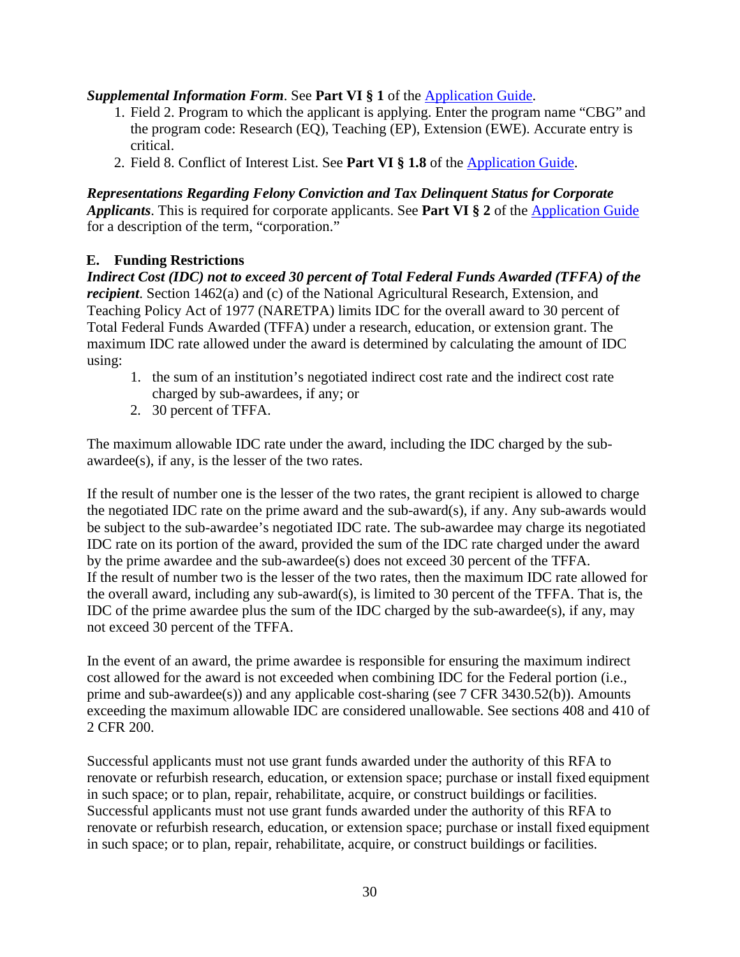## *Supplemental Information Form*. See **Part VI § 1** of the [Application Guide.](https://apply07.grants.gov/apply/opportunities/instructions/PKG00249520-instructions.pdf)

- 1. Field 2. Program to which the applicant is applying. [Enter the program](https://apply07.grants.gov/apply/opportunities/instructions/PKG00249520-instructions.pdf) name "CBG" and the program code: Research (EQ), Teaching (EP), Extension (EWE). Accurate entry is critical.
- 2. Field 8. Conflict of Interest List. See **Part VI § 1.8** of the [Application Guide.](https://apply07.grants.gov/apply/opportunities/instructions/PKG00249520-instructions.pdf)

*Representations Regarding Felony Conviction and Tax Delinquent Status for Corporate Applicants*. This is required for corporate applicants. See **Part VI § 2** of the [Application Guide](https://apply07.grants.gov/apply/opportunities/instructions/PKG00249520-instructions.pdf) for a description of the term, "corporation."

## <span id="page-29-0"></span>**E. Funding Restrictions**

*Indirect Cost (IDC) not to exceed 30 percent of Total Federal Funds Awarded (TFFA) of the recipient*. Section 1462(a) and (c) of the National Agricultural Research, Extension, and Teaching Policy Act of 1977 (NARETPA) limits IDC for the overall award to 30 percent of Total Federal Funds Awarded (TFFA) under a research, education, or extension grant. The maximum IDC rate allowed under the award is determined by calculating the amount of IDC using:

- 1. the sum of an institution's negotiated indirect cost rate and the indirect cost rate charged by sub-awardees, if any; or
- 2. 30 percent of TFFA.

The maximum allowable IDC rate under the award, including the IDC charged by the subawardee(s), if any, is the lesser of the two rates.

If the result of number one is the lesser of the two rates, the grant recipient is allowed to charge the negotiated IDC rate on the prime award and the sub-award(s), if any. Any sub-awards would be subject to the sub-awardee's negotiated IDC rate. The sub-awardee may charge its negotiated IDC rate on its portion of the award, provided the sum of the IDC rate charged under the award by the prime awardee and the sub-awardee(s) does not exceed 30 percent of the TFFA. If the result of number two is the lesser of the two rates, then the maximum IDC rate allowed for the overall award, including any sub-award(s), is limited to 30 percent of the TFFA. That is, the IDC of the prime awardee plus the sum of the IDC charged by the sub-awardee(s), if any, may not exceed 30 percent of the TFFA.

In the event of an award, the prime awardee is responsible for ensuring the maximum indirect cost allowed for the award is not exceeded when combining IDC for the Federal portion (i.e., prime and sub-awardee(s)) and any applicable cost-sharing (see 7 CFR 3430.52(b)). Amounts exceeding the maximum allowable IDC are considered unallowable. See sections 408 and 410 of 2 CFR 200.

Successful applicants must not use grant funds awarded under the authority of this RFA to renovate or refurbish research, education, or extension space; purchase or install fixed equipment in such space; or to plan, repair, rehabilitate, acquire, or construct buildings or facilities. Successful applicants must not use grant funds awarded under the authority of this RFA to renovate or refurbish research, education, or extension space; purchase or install fixed equipment in such space; or to plan, repair, rehabilitate, acquire, or construct buildings or facilities.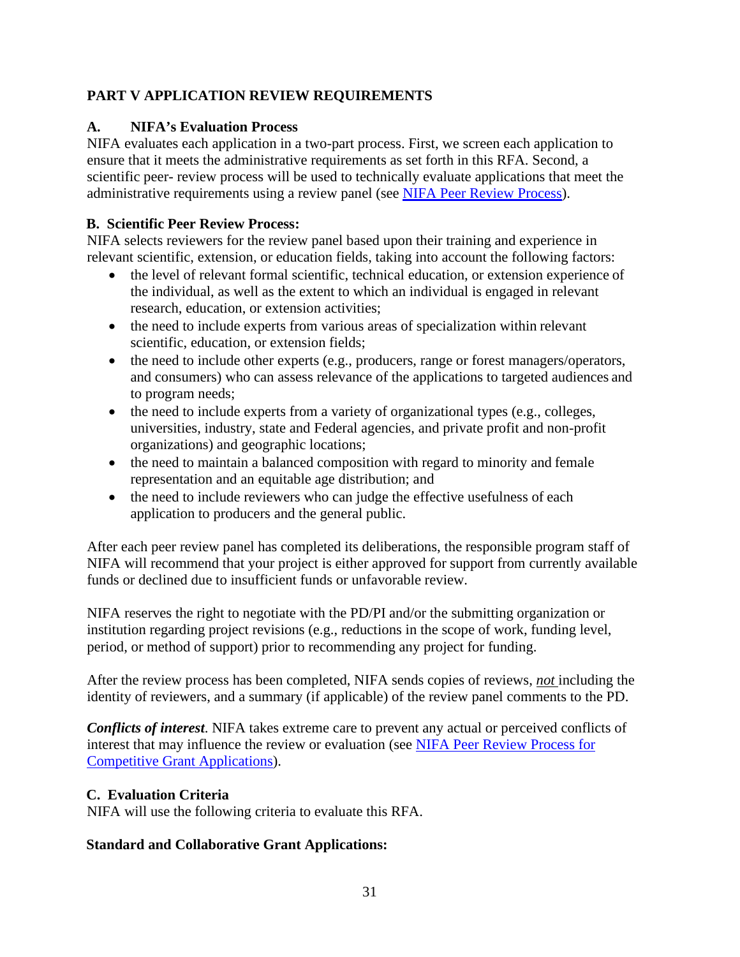# <span id="page-30-0"></span>**PART V APPLICATION REVIEW REQUIREMENTS**

## <span id="page-30-1"></span>**A. NIFA's Evaluation Process**

NIFA evaluates each application in a two-part process. First, we screen each application to ensure that it meets the administrative requirements as set forth in this RFA. Second, a scientific peer- review process will be used to technically evaluate applications that meet the administrative requirements using a review panel (see [NIFA Peer Review Process\)](https://nifa.usda.gov/resource/nifa-peer-review-process-competitive-grant-applications).

## <span id="page-30-2"></span>**B. Scientific Peer Review Process:**

NIFA selects reviewers for the review panel based upon their training and experience in relevant scientific, extension, or education fields, taking into account the following factors:

- the level of relevant formal scientific, technical education, or extension experience of the individual, as well as the extent to which an individual is engaged in relevant research, education, or extension activities;
- the need to include experts from various areas of specialization within relevant scientific, education, or extension fields;
- the need to include other experts (e.g., producers, range or forest managers/operators, and consumers) who can assess relevance of the applications to targeted audiences and to program needs;
- the need to include experts from a variety of organizational types (e.g., colleges, universities, industry, state and Federal agencies, and private profit and non-profit organizations) and geographic locations;
- the need to maintain a balanced composition with regard to minority and female representation and an equitable age distribution; and
- the need to include reviewers who can judge the effective usefulness of each application to producers and the general public.

After each peer review panel has completed its deliberations, the responsible program staff of NIFA will recommend that your project is either approved for support from currently available funds or declined due to insufficient funds or unfavorable review.

NIFA reserves the right to negotiate with the PD/PI and/or the submitting organization or institution regarding project revisions (e.g., reductions in the scope of work, funding level, period, or method of support) prior to recommending any project for funding.

After the review process has been completed, NIFA sends copies of reviews, *not* including the identity of reviewers, and a summary (if applicable) of the review panel comments to the PD.

*Conflicts of interest*. NIFA takes extreme care to prevent any actual or perceived conflicts of interest that may influence the review or evaluation (see [NIFA Peer Review Process for](https://nifa.usda.gov/resource/nifa-peer-review-process-competitive-grant-applications) [Competitive Grant Applications\)](https://nifa.usda.gov/resource/nifa-peer-review-process-competitive-grant-applications).

# <span id="page-30-3"></span>**C. Evaluation Criteria**

NIFA will use the following criteria to evaluate this RFA.

# **Standard and Collaborative Grant Applications:**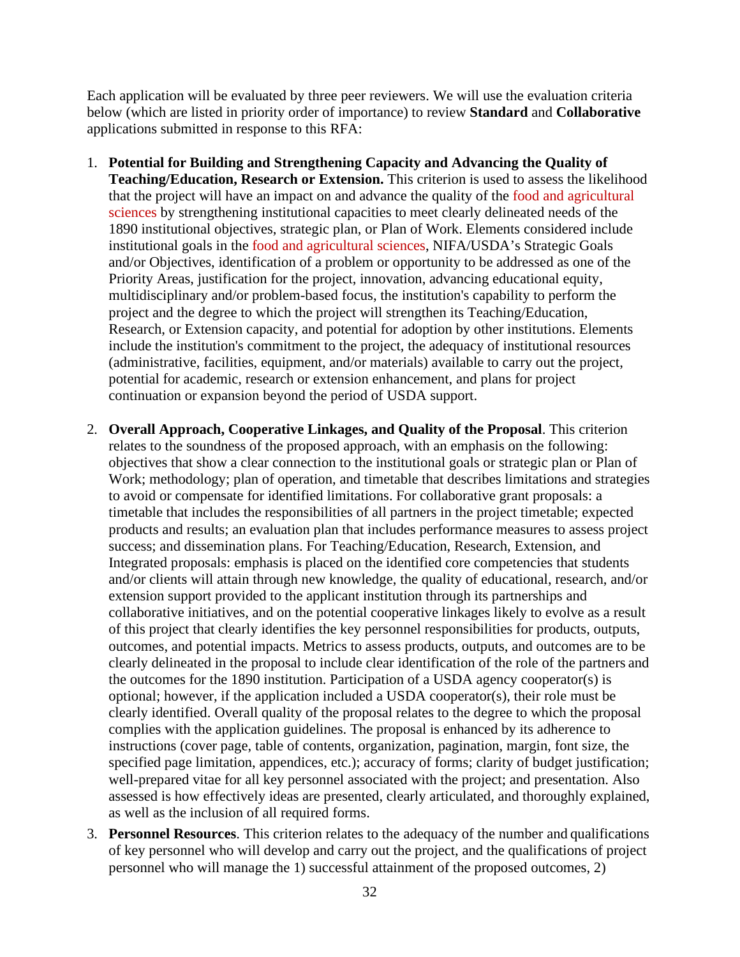Each application will be evaluated by three peer reviewers. We will use the evaluation criteria below (which are listed in priority order of importance) to review **Standard** and **Collaborative**  applications submitted in response to this RFA:

- 1. **Potential for Building and Strengthening Capacity and Advancing the Quality of Teaching/Education, Research or Extension.** This criterion is used to assess the likelihood that the project will have an impact on and advance the quality of the food and agricultural sciences by strengthening institutional capacities to meet clearly delineated needs of the 1890 institutional objectives, strategic plan, or Plan of Work. Elements considered include institutional goals in the food and agricultural sciences, NIFA/USDA's Strategic Goals and/or Objectives, identification of a problem or opportunity to be addressed as one of the Priority Areas, justification for the project, innovation, advancing educational equity, multidisciplinary and/or problem-based focus, the institution's capability to perform the project and the degree to which the project will strengthen its Teaching/Education, Research, or Extension capacity, and potential for adoption by other institutions. Elements include the institution's commitment to the project, the adequacy of institutional resources (administrative, facilities, equipment, and/or materials) available to carry out the project, potential for academic, research or extension enhancement, and plans for project continuation or expansion beyond the period of USDA support.
- 2. **Overall Approach, Cooperative Linkages, and Quality of the Proposal**. This criterion relates to the soundness of the proposed approach, with an emphasis on the following: objectives that show a clear connection to the institutional goals or strategic plan or Plan of Work; methodology; plan of operation, and timetable that describes limitations and strategies to avoid or compensate for identified limitations. For collaborative grant proposals: a timetable that includes the responsibilities of all partners in the project timetable; expected products and results; an evaluation plan that includes performance measures to assess project success; and dissemination plans. For Teaching/Education, Research, Extension, and Integrated proposals: emphasis is placed on the identified core competencies that students and/or clients will attain through new knowledge, the quality of educational, research, and/or extension support provided to the applicant institution through its partnerships and collaborative initiatives, and on the potential cooperative linkages likely to evolve as a result of this project that clearly identifies the key personnel responsibilities for products, outputs, outcomes, and potential impacts. Metrics to assess products, outputs, and outcomes are to be clearly delineated in the proposal to include clear identification of the role of the partners and the outcomes for the 1890 institution. Participation of a USDA agency cooperator(s) is optional; however, if the application included a USDA cooperator(s), their role must be clearly identified. Overall quality of the proposal relates to the degree to which the proposal complies with the application guidelines. The proposal is enhanced by its adherence to instructions (cover page, table of contents, organization, pagination, margin, font size, the specified page limitation, appendices, etc.); accuracy of forms; clarity of budget justification; well-prepared vitae for all key personnel associated with the project; and presentation. Also assessed is how effectively ideas are presented, clearly articulated, and thoroughly explained, as well as the inclusion of all required forms.
- 3. **Personnel Resources**. This criterion relates to the adequacy of the number and qualifications of key personnel who will develop and carry out the project, and the qualifications of project personnel who will manage the 1) successful attainment of the proposed outcomes, 2)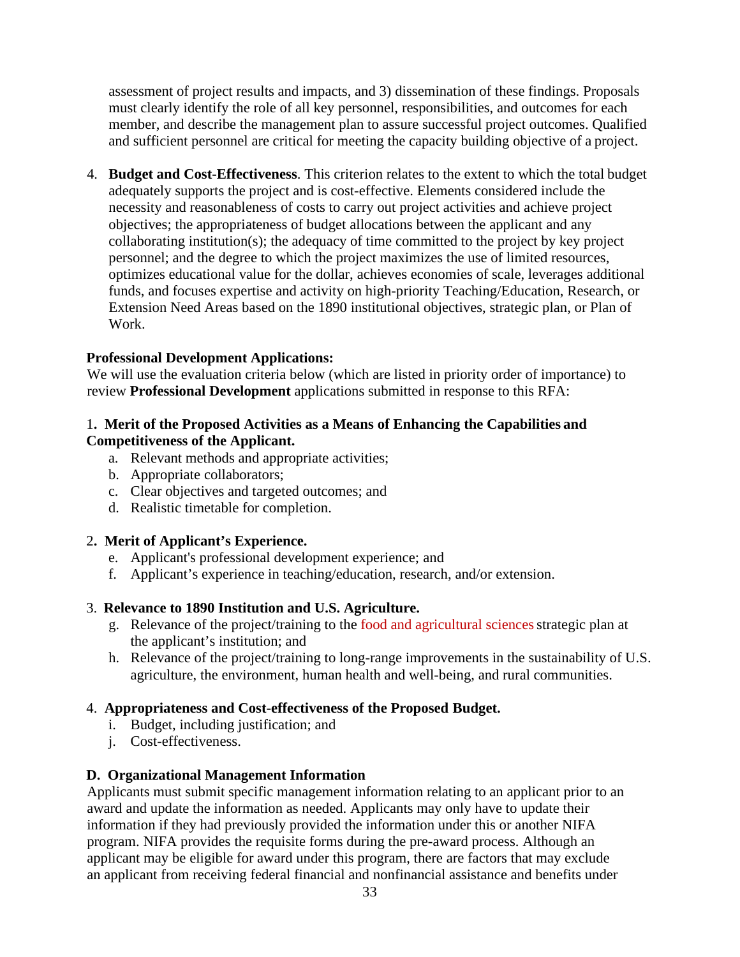assessment of project results and impacts, and 3) dissemination of these findings. Proposals must clearly identify the role of all key personnel, responsibilities, and outcomes for each member, and describe the management plan to assure successful project outcomes. Qualified and sufficient personnel are critical for meeting the capacity building objective of a project.

4. **Budget and Cost-Effectiveness**. This criterion relates to the extent to which the total budget adequately supports the project and is cost-effective. Elements considered include the necessity and reasonableness of costs to carry out project activities and achieve project objectives; the appropriateness of budget allocations between the applicant and any collaborating institution(s); the adequacy of time committed to the project by key project personnel; and the degree to which the project maximizes the use of limited resources, optimizes educational value for the dollar, achieves economies of scale, leverages additional funds, and focuses expertise and activity on high-priority Teaching/Education, Research, or Extension Need Areas based on the 1890 institutional objectives, strategic plan, or Plan of Work.

#### **Professional Development Applications:**

We will use the evaluation criteria below (which are listed in priority order of importance) to review **Professional Development** applications submitted in response to this RFA:

#### 1**. Merit of the Proposed Activities as a Means of Enhancing the Capabilities and Competitiveness of the Applicant.**

- a. Relevant methods and appropriate activities;
- b. Appropriate collaborators;
- c. Clear objectives and targeted outcomes; and
- d. Realistic timetable for completion.

#### 2**. Merit of Applicant's Experience.**

- e. Applicant's professional development experience; and
- f. Applicant's experience in teaching/education, research, and/or extension.

## 3. **Relevance to 1890 Institution and U.S. Agriculture.**

- g. Relevance of the project/training to the food and agricultural sciencesstrategic plan at the applicant's institution; and
- h. Relevance of the project/training to long-range improvements in the sustainability of U.S. agriculture, the environment, human health and well-being, and rural communities.

#### 4. **Appropriateness and Cost-effectiveness of the Proposed Budget.**

- i. Budget, including justification; and
- j. Cost-effectiveness.

## <span id="page-32-0"></span>**D. Organizational Management Information**

Applicants must submit specific management information relating to an applicant prior to an award and update the information as needed. Applicants may only have to update their information if they had previously provided the information under this or another NIFA program. NIFA provides the requisite forms during the pre-award process. Although an applicant may be eligible for award under this program, there are factors that may exclude an applicant from receiving federal financial and nonfinancial assistance and benefits under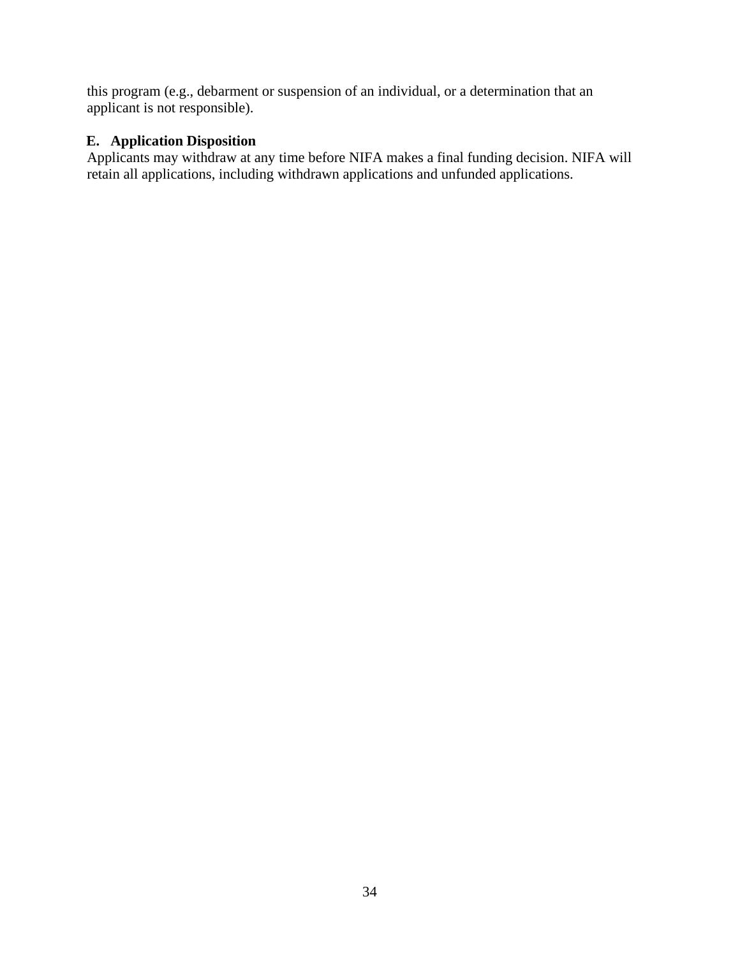this program (e.g., debarment or suspension of an individual, or a determination that an applicant is not responsible).

# <span id="page-33-0"></span>**E. Application Disposition**

Applicants may withdraw at any time before NIFA makes a final funding decision. NIFA will retain all applications, including withdrawn applications and unfunded applications.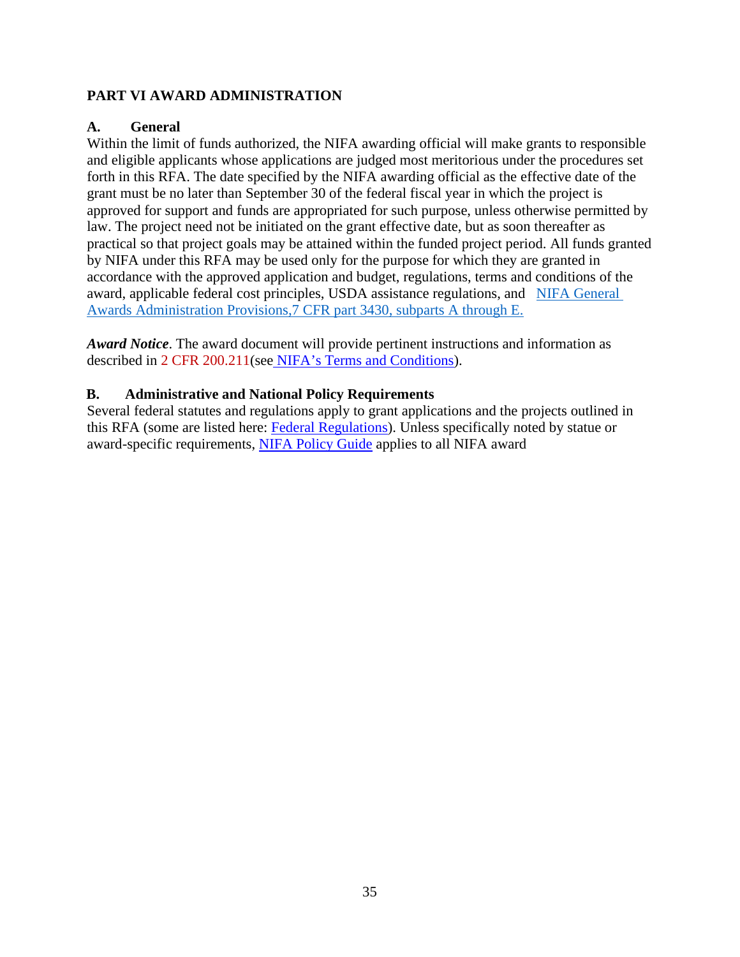## <span id="page-34-0"></span>**PART VI AWARD ADMINISTRATION**

#### <span id="page-34-1"></span>**A. General**

Within the limit of funds authorized, the NIFA awarding official will make grants to responsible and eligible applicants whose applications are judged most meritorious under the procedures set forth in this RFA. The date specified by the NIFA awarding official as the effective date of the grant must be no later than September 30 of the federal fiscal year in which the project is approved for support and funds are appropriated for such purpose, unless otherwise permitted by law. The project need not be initiated on the grant effective date, but as soon thereafter as practical so that project goals may be attained within the funded project period. All funds granted by NIFA under this RFA may be used only for the purpose for which they are granted in accordance with the approved application and budget, regulations, terms and conditions of the award, applicable federal cost principles, USDA assistance regulations, and [NIFA General](https://www.ecfr.gov/cgi-bin/text-idx?SID=6200321d0b82b34c716c03aa0c62df06&mc=true&node=pt7.15.3430&rgn=div5) [Awards Administration Provisions,7 CFR part 3430, subparts A through E.](https://www.ecfr.gov/cgi-bin/text-idx?SID=6200321d0b82b34c716c03aa0c62df06&mc=true&node=pt7.15.3430&rgn=div5)

*Award Notice*. The award document will provide pertinent instructions and information as described in [2 CFR 200.211\(](https://www.ecfr.gov/cgi-bin/text-idx?SID=e35ac9838146b89ceea4bd3d1f4bbab7&mc=true&node=pt2.1.200&rgn=div5#se2.1.200_1211)se[e NIFA's Terms and Conditions\)](https://nifa.usda.gov/terms-and-conditions).

#### <span id="page-34-2"></span>**B. Administrative and National Policy Requirements**

Several federal statutes and regulations apply to grant applications and the projects outlined in this RFA (some are listed here: [Federal Regulations\)](https://nifa.usda.gov/federal-regulations). Unless specifically noted by statue or award-specific requirements, [NIFA Policy Guide a](https://nifa.usda.gov/policy-guide)pplies to all NIFA award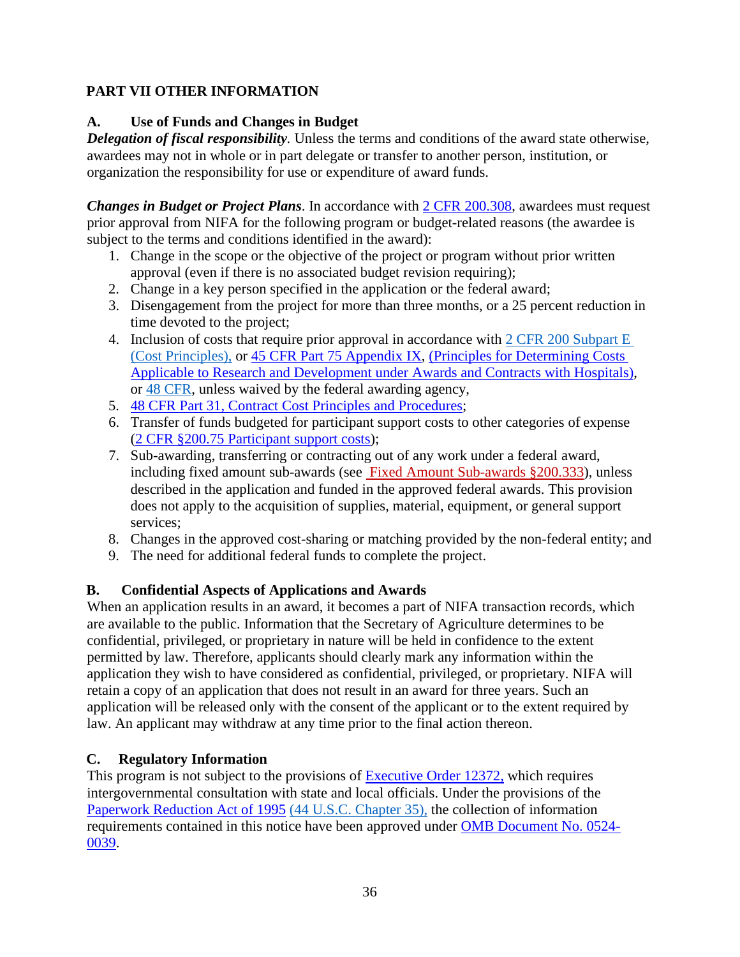# <span id="page-35-0"></span>**PART VII OTHER INFORMATION**

# <span id="page-35-1"></span>**A. Use of Funds and Changes in Budget**

**Delegation of fiscal responsibility**. Unless the terms and conditions of the award state otherwise, awardees may not in whole or in part delegate or transfer to another person, institution, or organization the responsibility for use or expenditure of award funds.

*Changes in Budget or Project Plans*. In accordance with [2 CFR 200.308,](https://www.ecfr.gov/cgi-bin/text-idx?SID=3af89506559b05297e7d0334cb283e24&mc=true&node=se2.1.200_1308&rgn=div8) awardees must request prior approval from NIFA for the following program or budget-related reasons (the awardee is subject to the terms and conditions identified in the award):

- 1. Change in the scope or the objective of the project or program without prior written approval (even if there is no associated budget revision requiring);
- 2. Change in a key person specified in the application or the federal award;
- 3. Disengagement from the project for more than three months, or a 25 percent reduction in time devoted to the project;
- 4. Inclusion of costs that require prior approval in accordance with [2 CFR 200 Subpart E](https://www.ecfr.gov/cgi-bin/text-idx?SID=e35ac9838146b89ceea4bd3d1f4bbab7&mc=true&node=pt2.1.200&rgn=div5#sp2.1.200.e) [\(Cost Principles\),](https://www.ecfr.gov/cgi-bin/text-idx?SID=e35ac9838146b89ceea4bd3d1f4bbab7&mc=true&node=pt2.1.200&rgn=div5#sp2.1.200.e) o[r 45 CFR Part 75 Appendix IX,](https://www.ecfr.gov/cgi-bin/text-idx?node=pt45.1.75&ap45.1.75_1521.ix) [\(Principles for Determining Costs](https://www.ecfr.gov/cgi-bin/text-idx?node=pt45.1.75&ap45.1.75_1521.ix) [Applicable to Research and Development under Awards and Contracts with Hospitals\)](https://www.ecfr.gov/cgi-bin/text-idx?node=pt45.1.75&ap45.1.75_1521.ix), or [48 CFR,](https://www.ecfr.gov/cgi-bin/text-idx?SID=0fee8451157f2cd2530cee92f733bce0&mc=true&tpl=/ecfrbrowse/Title48/48tab_02.tpl) unless waived by the federal awarding agency,
- 5. [48 CFR Part 31, Contract Cost Principles and Procedures;](https://www.ecfr.gov/cgi-bin/text-idx?SID=0fee8451157f2cd2530cee92f733bce0&mc=true&node=pt48.1.31&rgn=div5)
- 6. Transfer of funds budgeted for participant support costs to other categories of expense [\(2 CFR §200.75 Participant support costs\)](https://www.ecfr.gov/cgi-bin/text-idx?SID=eb0a855cec96bb95b86b2091312d25a2&mc=true&node=pt2.1.200&rgn=div5#se2.1.200_175);
- 7. Sub-awarding, transferring or contracting out of any work under a federal award, including fixed amount sub-awards (see [Fixed Amount Sub-awards §200.333\)](https://www.ecfr.gov/cgi-bin/text-idx?SID=dc27fc78536a011960ac9173c516de85&mc=true&node=pt2.1.200&rgn=div5#se2.1.200_1333), unless described in the application and funded in the approved federal awards. This provision does not apply to the acquisition of supplies, material, equipment, or general support services;
- 8. Changes in the approved cost-sharing or matching provided by the non-federal entity; and
- 9. The need for additional federal funds to complete the project.

# <span id="page-35-2"></span>**B. Confidential Aspects of Applications and Awards**

When an application results in an award, it becomes a part of NIFA transaction records, which are available to the public. Information that the Secretary of Agriculture determines to be confidential, privileged, or proprietary in nature will be held in confidence to the extent permitted by law. Therefore, applicants should clearly mark any information within the application they wish to have considered as confidential, privileged, or proprietary. NIFA will retain a copy of an application that does not result in an award for three years. Such an application will be released only with the consent of the applicant or to the extent required by law. An applicant may withdraw at any time prior to the final action thereon.

# <span id="page-35-3"></span>**C. Regulatory Information**

This program is not subject to the provisions of **Executive Order 12372**, which requires intergovernmental consultation with state and local officials. Under the provisions of the [Paperwork Reduction Act of 1995](https://www.reginfo.gov/public/reginfo/pra.pdf) [\(44 U.S.C. Chapter 35\),](https://uscode.house.gov/view.xhtml?path=/prelim@title44/chapter35&edition=prelim) the collection of information requirements contained in this notice have been approved under [OMB Document No. 0524-](https://www.federalregister.gov/documents/2018/10/29/2018-23552/submission-for-omb-review-comment-request) [0039.](https://www.federalregister.gov/documents/2018/10/29/2018-23552/submission-for-omb-review-comment-request)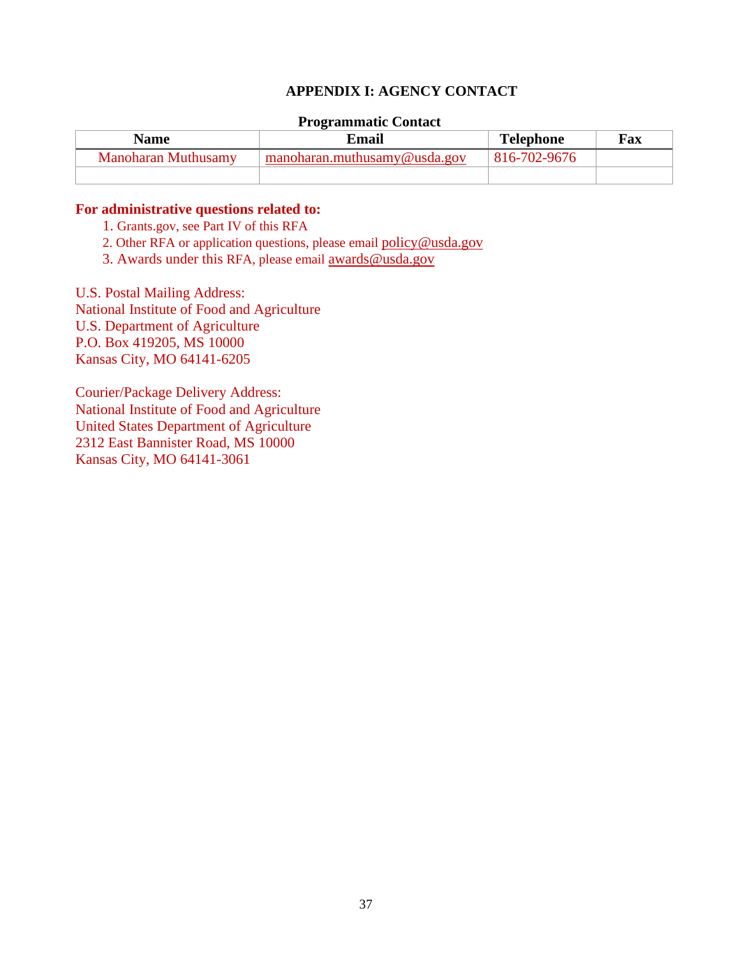#### **APPENDIX I: AGENCY CONTACT**

#### **Programmatic Contact**

<span id="page-36-0"></span>

| Name                | Email                        | <b>Telephone</b> | Fax |
|---------------------|------------------------------|------------------|-----|
| Manoharan Muthusamy | manoharan.muthusamy@usda.gov | 816-702-9676     |     |
|                     |                              |                  |     |

#### **For administrative questions related to:**

- 1. Grants.gov, see Part IV of this RFA
- 2. Other RFA or application questions, please email [policy@usda.gov](mailto:policy@usda.gov)
- 3. Awards under this RFA, please email [awards@usda.gov](mailto:awards@usda.gov)

U.S. Postal Mailing Address: National Institute of Food and Agriculture U.S. Department of Agriculture P.O. Box 419205, MS 10000 Kansas City, MO 64141-6205

Courier/Package Delivery Address: National Institute of Food and Agriculture United States Department of Agriculture 2312 East Bannister Road, MS 10000 Kansas City, MO 64141-3061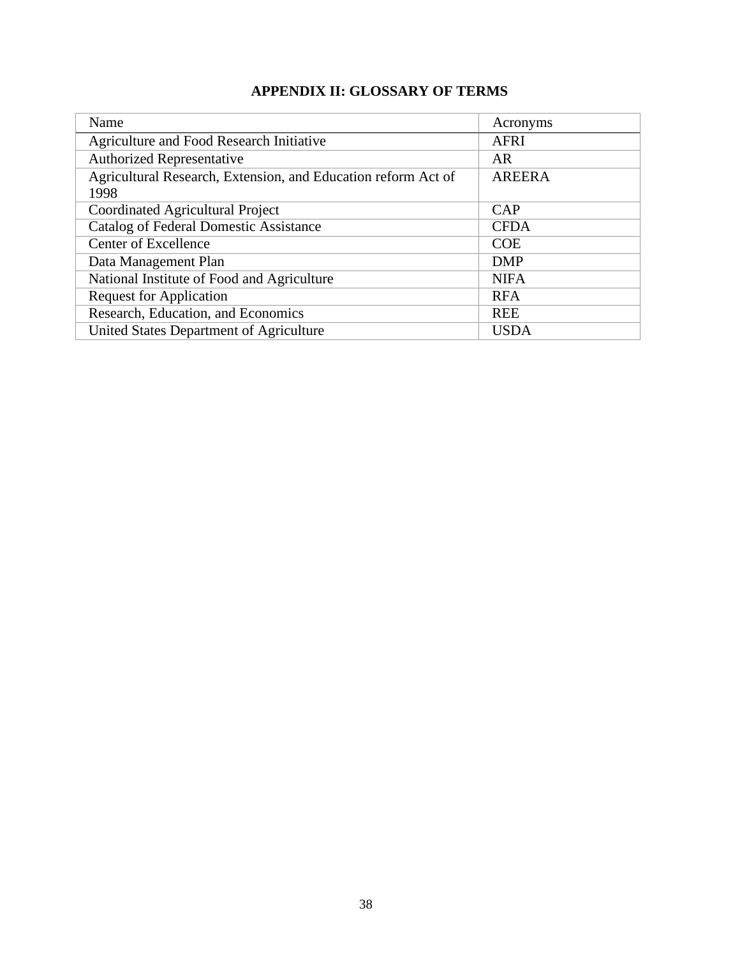# **APPENDIX II: GLOSSARY OF TERMS**

<span id="page-37-0"></span>

| Name                                                          | Acronyms      |
|---------------------------------------------------------------|---------------|
| Agriculture and Food Research Initiative                      | <b>AFRI</b>   |
| <b>Authorized Representative</b>                              | AR            |
| Agricultural Research, Extension, and Education reform Act of | <b>AREERA</b> |
| 1998                                                          |               |
| Coordinated Agricultural Project                              | CAP           |
| <b>Catalog of Federal Domestic Assistance</b>                 | <b>CFDA</b>   |
| <b>Center of Excellence</b>                                   | <b>COE</b>    |
| Data Management Plan                                          | <b>DMP</b>    |
| National Institute of Food and Agriculture                    | <b>NIFA</b>   |
| <b>Request for Application</b>                                | <b>RFA</b>    |
| Research, Education, and Economics                            | <b>REE</b>    |
| United States Department of Agriculture                       | <b>USDA</b>   |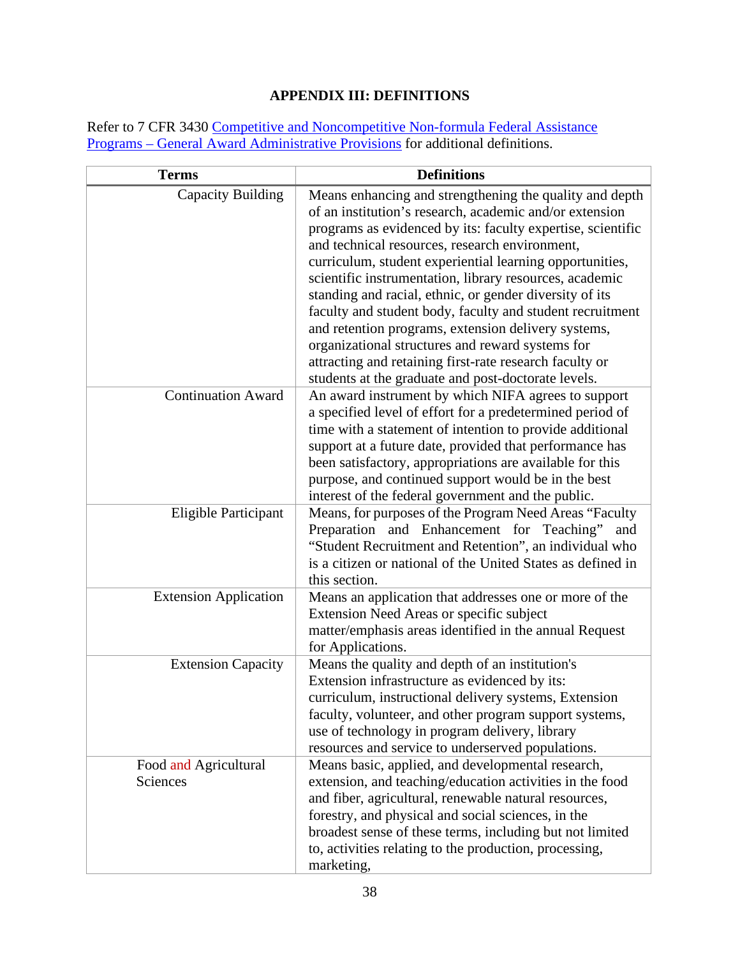# **APPENDIX III: DEFINITIONS**

<span id="page-38-0"></span>Refer to 7 CFR 3430 [Competitive and Noncompetitive Non-formula Federal Assistance](https://www.ecfr.gov/cgi-bin/text-idx?c=ecfr&SID=2a6f6bfbef4c918616eebe5353d0793c&rgn=div5&view=text&node=7%3A15.1.12.2.13&idno=7&7%3A15.1.12.2.13.1.17.2) [Programs – General Award Administrative Provisions f](https://www.ecfr.gov/cgi-bin/text-idx?c=ecfr&SID=2a6f6bfbef4c918616eebe5353d0793c&rgn=div5&view=text&node=7%3A15.1.12.2.13&idno=7&7%3A15.1.12.2.13.1.17.2)or additional definitions.

| <b>Terms</b>                      | <b>Definitions</b>                                                                                                                                                                                                                                                                                                                                                                                                                                                                                                                                                                                                                                                                                              |
|-----------------------------------|-----------------------------------------------------------------------------------------------------------------------------------------------------------------------------------------------------------------------------------------------------------------------------------------------------------------------------------------------------------------------------------------------------------------------------------------------------------------------------------------------------------------------------------------------------------------------------------------------------------------------------------------------------------------------------------------------------------------|
| <b>Capacity Building</b>          | Means enhancing and strengthening the quality and depth<br>of an institution's research, academic and/or extension<br>programs as evidenced by its: faculty expertise, scientific<br>and technical resources, research environment,<br>curriculum, student experiential learning opportunities,<br>scientific instrumentation, library resources, academic<br>standing and racial, ethnic, or gender diversity of its<br>faculty and student body, faculty and student recruitment<br>and retention programs, extension delivery systems,<br>organizational structures and reward systems for<br>attracting and retaining first-rate research faculty or<br>students at the graduate and post-doctorate levels. |
| <b>Continuation Award</b>         | An award instrument by which NIFA agrees to support<br>a specified level of effort for a predetermined period of<br>time with a statement of intention to provide additional<br>support at a future date, provided that performance has<br>been satisfactory, appropriations are available for this<br>purpose, and continued support would be in the best<br>interest of the federal government and the public.                                                                                                                                                                                                                                                                                                |
| Eligible Participant              | Means, for purposes of the Program Need Areas "Faculty<br>Preparation and Enhancement for Teaching"<br>and<br>"Student Recruitment and Retention", an individual who<br>is a citizen or national of the United States as defined in<br>this section.                                                                                                                                                                                                                                                                                                                                                                                                                                                            |
| <b>Extension Application</b>      | Means an application that addresses one or more of the<br>Extension Need Areas or specific subject<br>matter/emphasis areas identified in the annual Request<br>for Applications.                                                                                                                                                                                                                                                                                                                                                                                                                                                                                                                               |
| <b>Extension Capacity</b>         | Means the quality and depth of an institution's<br>Extension infrastructure as evidenced by its:<br>curriculum, instructional delivery systems, Extension<br>faculty, volunteer, and other program support systems,<br>use of technology in program delivery, library<br>resources and service to underserved populations.                                                                                                                                                                                                                                                                                                                                                                                      |
| Food and Agricultural<br>Sciences | Means basic, applied, and developmental research,<br>extension, and teaching/education activities in the food<br>and fiber, agricultural, renewable natural resources,<br>forestry, and physical and social sciences, in the<br>broadest sense of these terms, including but not limited<br>to, activities relating to the production, processing,<br>marketing,                                                                                                                                                                                                                                                                                                                                                |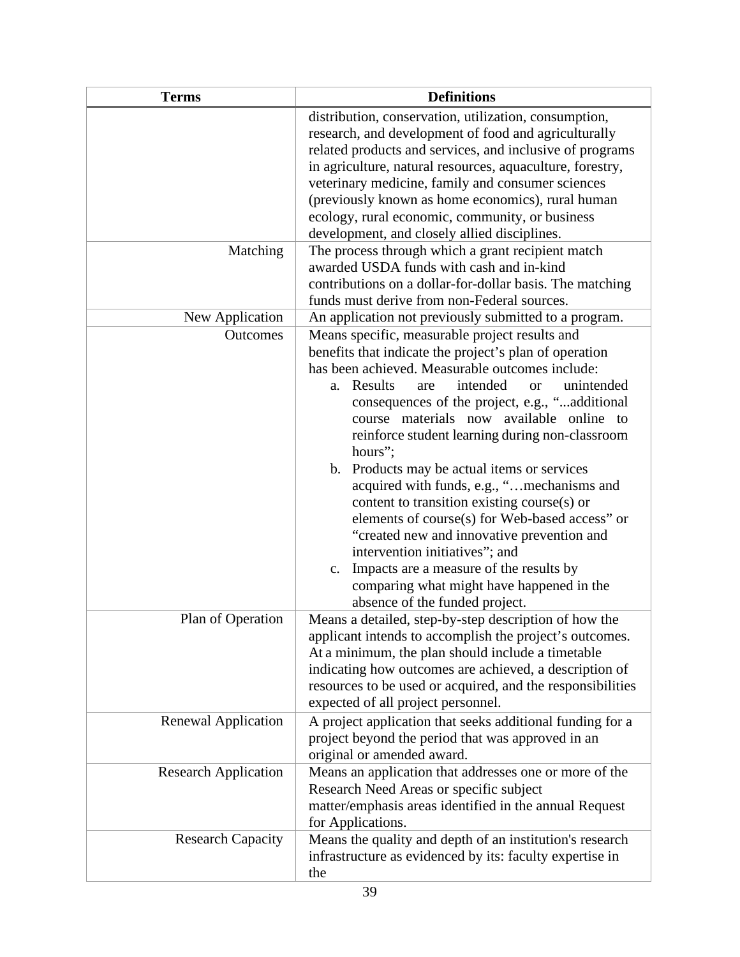| <b>Terms</b>                | <b>Definitions</b>                                                                                                                                                                                                                                                                                                                                                                                                                                                                                                                                                                                                                                                                                                                                                                                                     |
|-----------------------------|------------------------------------------------------------------------------------------------------------------------------------------------------------------------------------------------------------------------------------------------------------------------------------------------------------------------------------------------------------------------------------------------------------------------------------------------------------------------------------------------------------------------------------------------------------------------------------------------------------------------------------------------------------------------------------------------------------------------------------------------------------------------------------------------------------------------|
|                             | distribution, conservation, utilization, consumption,<br>research, and development of food and agriculturally<br>related products and services, and inclusive of programs<br>in agriculture, natural resources, aquaculture, forestry,<br>veterinary medicine, family and consumer sciences<br>(previously known as home economics), rural human<br>ecology, rural economic, community, or business<br>development, and closely allied disciplines.                                                                                                                                                                                                                                                                                                                                                                    |
| Matching                    | The process through which a grant recipient match<br>awarded USDA funds with cash and in-kind<br>contributions on a dollar-for-dollar basis. The matching<br>funds must derive from non-Federal sources.                                                                                                                                                                                                                                                                                                                                                                                                                                                                                                                                                                                                               |
| New Application             | An application not previously submitted to a program.                                                                                                                                                                                                                                                                                                                                                                                                                                                                                                                                                                                                                                                                                                                                                                  |
| <b>Outcomes</b>             | Means specific, measurable project results and<br>benefits that indicate the project's plan of operation<br>has been achieved. Measurable outcomes include:<br>intended<br>Results<br>unintended<br>are<br><b>or</b><br>a.<br>consequences of the project, e.g., "additional<br>course materials now available online<br>to<br>reinforce student learning during non-classroom<br>hours";<br>Products may be actual items or services<br>$\mathbf{b}$ .<br>acquired with funds, e.g., "mechanisms and<br>content to transition existing course(s) or<br>elements of course(s) for Web-based access" or<br>"created new and innovative prevention and<br>intervention initiatives"; and<br>Impacts are a measure of the results by<br>c.<br>comparing what might have happened in the<br>absence of the funded project. |
| Plan of Operation           | Means a detailed, step-by-step description of how the<br>applicant intends to accomplish the project's outcomes.<br>At a minimum, the plan should include a timetable<br>indicating how outcomes are achieved, a description of<br>resources to be used or acquired, and the responsibilities<br>expected of all project personnel.                                                                                                                                                                                                                                                                                                                                                                                                                                                                                    |
| Renewal Application         | A project application that seeks additional funding for a<br>project beyond the period that was approved in an<br>original or amended award.                                                                                                                                                                                                                                                                                                                                                                                                                                                                                                                                                                                                                                                                           |
| <b>Research Application</b> | Means an application that addresses one or more of the<br>Research Need Areas or specific subject<br>matter/emphasis areas identified in the annual Request<br>for Applications.                                                                                                                                                                                                                                                                                                                                                                                                                                                                                                                                                                                                                                       |
| <b>Research Capacity</b>    | Means the quality and depth of an institution's research<br>infrastructure as evidenced by its: faculty expertise in<br>the                                                                                                                                                                                                                                                                                                                                                                                                                                                                                                                                                                                                                                                                                            |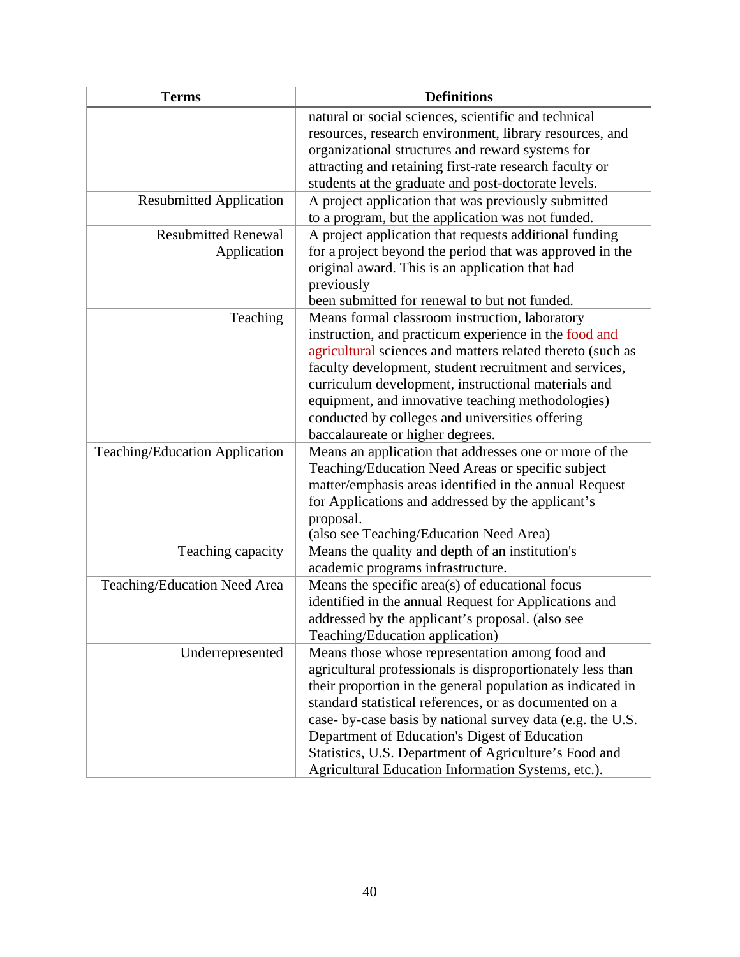| <b>Terms</b>                              | <b>Definitions</b>                                                                                                                                                                                                                                                                                                                                                                                                                                                  |
|-------------------------------------------|---------------------------------------------------------------------------------------------------------------------------------------------------------------------------------------------------------------------------------------------------------------------------------------------------------------------------------------------------------------------------------------------------------------------------------------------------------------------|
|                                           | natural or social sciences, scientific and technical<br>resources, research environment, library resources, and<br>organizational structures and reward systems for<br>attracting and retaining first-rate research faculty or<br>students at the graduate and post-doctorate levels.                                                                                                                                                                               |
| <b>Resubmitted Application</b>            | A project application that was previously submitted<br>to a program, but the application was not funded.                                                                                                                                                                                                                                                                                                                                                            |
| <b>Resubmitted Renewal</b><br>Application | A project application that requests additional funding<br>for a project beyond the period that was approved in the<br>original award. This is an application that had<br>previously<br>been submitted for renewal to but not funded.                                                                                                                                                                                                                                |
| Teaching                                  | Means formal classroom instruction, laboratory<br>instruction, and practicum experience in the food and<br>agricultural sciences and matters related thereto (such as<br>faculty development, student recruitment and services,<br>curriculum development, instructional materials and<br>equipment, and innovative teaching methodologies)<br>conducted by colleges and universities offering<br>baccalaureate or higher degrees.                                  |
| <b>Teaching/Education Application</b>     | Means an application that addresses one or more of the<br>Teaching/Education Need Areas or specific subject<br>matter/emphasis areas identified in the annual Request<br>for Applications and addressed by the applicant's<br>proposal.<br>(also see Teaching/Education Need Area)                                                                                                                                                                                  |
| Teaching capacity                         | Means the quality and depth of an institution's<br>academic programs infrastructure.                                                                                                                                                                                                                                                                                                                                                                                |
| Teaching/Education Need Area              | Means the specific area(s) of educational focus<br>identified in the annual Request for Applications and<br>addressed by the applicant's proposal. (also see<br>Teaching/Education application)                                                                                                                                                                                                                                                                     |
| Underrepresented                          | Means those whose representation among food and<br>agricultural professionals is disproportionately less than<br>their proportion in the general population as indicated in<br>standard statistical references, or as documented on a<br>case- by-case basis by national survey data (e.g. the U.S.<br>Department of Education's Digest of Education<br>Statistics, U.S. Department of Agriculture's Food and<br>Agricultural Education Information Systems, etc.). |